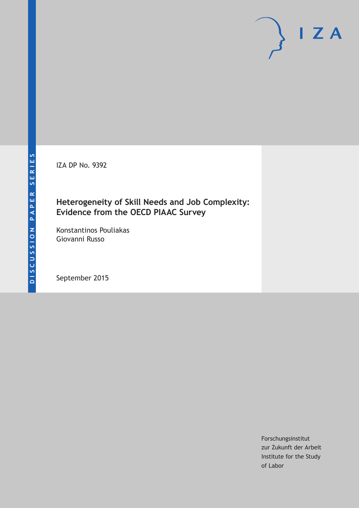IZA DP No. 9392

### **Heterogeneity of Skill Needs and Job Complexity: Evidence from the OECD PIAAC Survey**

Konstantinos Pouliakas Giovanni Russo

September 2015

Forschungsinstitut zur Zukunft der Arbeit Institute for the Study of Labor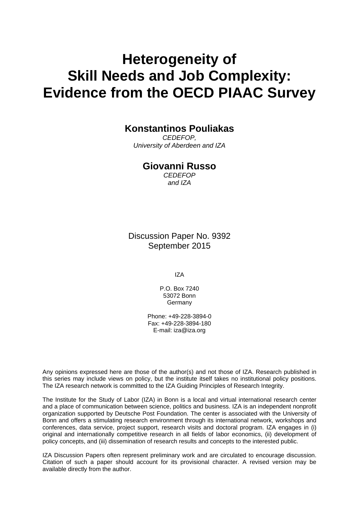# **Heterogeneity of Skill Needs and Job Complexity: Evidence from the OECD PIAAC Survey**

### **Konstantinos Pouliakas**

*CEDEFOP, University of Aberdeen and IZA* 

### **Giovanni Russo**

*CEDEFOP and IZA* 

Discussion Paper No. 9392 September 2015

IZA

P.O. Box 7240 53072 Bonn **Germany** 

Phone: +49-228-3894-0 Fax: +49-228-3894-180 E-mail: iza@iza.org

Any opinions expressed here are those of the author(s) and not those of IZA. Research published in this series may include views on policy, but the institute itself takes no institutional policy positions. The IZA research network is committed to the IZA Guiding Principles of Research Integrity.

The Institute for the Study of Labor (IZA) in Bonn is a local and virtual international research center and a place of communication between science, politics and business. IZA is an independent nonprofit organization supported by Deutsche Post Foundation. The center is associated with the University of Bonn and offers a stimulating research environment through its international network, workshops and conferences, data service, project support, research visits and doctoral program. IZA engages in (i) original and internationally competitive research in all fields of labor economics, (ii) development of policy concepts, and (iii) dissemination of research results and concepts to the interested public.

IZA Discussion Papers often represent preliminary work and are circulated to encourage discussion. Citation of such a paper should account for its provisional character. A revised version may be available directly from the author.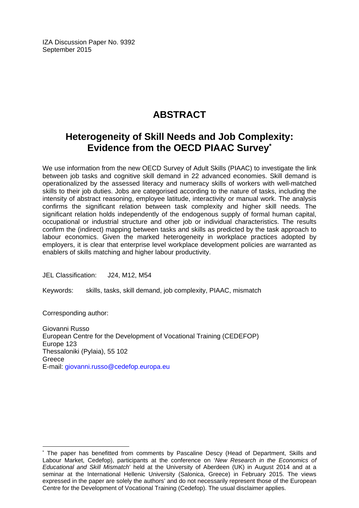IZA Discussion Paper No. 9392 September 2015

# **ABSTRACT**

# **Heterogeneity of Skill Needs and Job Complexity: Evidence from the OECD PIAAC Survey\***

We use information from the new OECD Survey of Adult Skills (PIAAC) to investigate the link between job tasks and cognitive skill demand in 22 advanced economies. Skill demand is operationalized by the assessed literacy and numeracy skills of workers with well-matched skills to their job duties. Jobs are categorised according to the nature of tasks, including the intensity of abstract reasoning, employee latitude, interactivity or manual work. The analysis confirms the significant relation between task complexity and higher skill needs. The significant relation holds independently of the endogenous supply of formal human capital, occupational or industrial structure and other job or individual characteristics. The results confirm the (indirect) mapping between tasks and skills as predicted by the task approach to labour economics. Given the marked heterogeneity in workplace practices adopted by employers, it is clear that enterprise level workplace development policies are warranted as enablers of skills matching and higher labour productivity.

JEL Classification: J24, M12, M54

Keywords: skills, tasks, skill demand, job complexity, PIAAC, mismatch

Corresponding author:

 $\overline{a}$ 

Giovanni Russo European Centre for the Development of Vocational Training (CEDEFOP) Europe 123 Thessaloniki (Pylaia), 55 102 Greece E-mail: giovanni.russo@cedefop.europa.eu

<sup>\*</sup> The paper has benefitted from comments by Pascaline Descy (Head of Department, Skills and Labour Market, Cedefop), participants at the conference on '*New Research in the Economics of Educational and Skill Mismatch*' held at the University of Aberdeen (UK) in August 2014 and at a seminar at the International Hellenic University (Salonica, Greece) in February 2015. The views expressed in the paper are solely the authors' and do not necessarily represent those of the European Centre for the Development of Vocational Training (Cedefop). The usual disclaimer applies.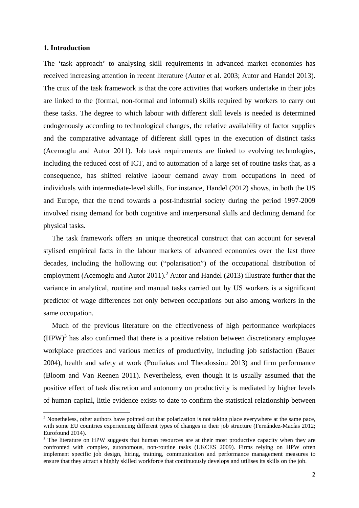#### **1. Introduction**

The 'task approach' to analysing skill requirements in advanced market economies has received increasing attention in recent literature (Autor et al. 2003; Autor and Handel 2013). The crux of the task framework is that the core activities that workers undertake in their jobs are linked to the (formal, non-formal and informal) skills required by workers to carry out these tasks. The degree to which labour with different skill levels is needed is determined endogenously according to technological changes, the relative availability of factor supplies and the comparative advantage of different skill types in the execution of distinct tasks (Acemoglu and Autor 2011). Job task requirements are linked to evolving technologies, including the reduced cost of ICT, and to automation of a large set of routine tasks that, as a consequence, has shifted relative labour demand away from occupations in need of individuals with intermediate-level skills. For instance, Handel (2012) shows, in both the US and Europe, that the trend towards a post-industrial society during the period 1997-2009 involved rising demand for both cognitive and interpersonal skills and declining demand for physical tasks.

The task framework offers an unique theoretical construct that can account for several stylised empirical facts in the labour markets of advanced economies over the last three decades, including the hollowing out ("polarisation") of the occupational distribution of employment (Acemoglu and Autor 2011).<sup>2</sup> Autor and Handel (2013) illustrate further that the variance in analytical, routine and manual tasks carried out by US workers is a significant predictor of wage differences not only between occupations but also among workers in the same occupation.

Much of the previous literature on the effectiveness of high performance workplaces  $(HPW)^3$  has also confirmed that there is a positive relation between discretionary employee workplace practices and various metrics of productivity, including job satisfaction (Bauer 2004), health and safety at work (Pouliakas and Theodossiou 2013) and firm performance (Bloom and Van Reenen 2011). Nevertheless, even though it is usually assumed that the positive effect of task discretion and autonomy on productivity is mediated by higher levels of human capital, little evidence exists to date to confirm the statistical relationship between

<sup>&</sup>lt;sup>2</sup> Nonetheless, other authors have pointed out that polarization is not taking place everywhere at the same pace, with some EU countries experiencing different types of changes in their job structure (Fernández-Macías 2012; Eurofound 2014).

<sup>&</sup>lt;sup>3</sup> The literature on HPW suggests that human resources are at their most productive capacity when they are confronted with complex, autonomous, non-routine tasks (UKCES 2009). Firms relying on HPW often implement specific job design, hiring, training, communication and performance management measures to ensure that they attract a highly skilled workforce that continuously develops and utilises its skills on the job.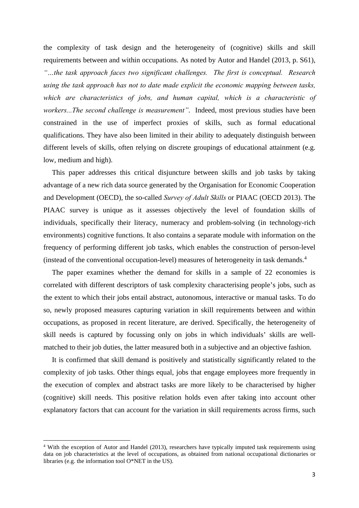the complexity of task design and the heterogeneity of (cognitive) skills and skill requirements between and within occupations. As noted by Autor and Handel (2013, p. S61), *"…the task approach faces two significant challenges. The first is conceptual. Research using the task approach has not to date made explicit the economic mapping between tasks, which are characteristics of jobs, and human capital, which is a characteristic of workers...The second challenge is measurement"*. Indeed, most previous studies have been constrained in the use of imperfect proxies of skills, such as formal educational qualifications. They have also been limited in their ability to adequately distinguish between different levels of skills, often relying on discrete groupings of educational attainment (e.g. low, medium and high).

This paper addresses this critical disjuncture between skills and job tasks by taking advantage of a new rich data source generated by the Organisation for Economic Cooperation and Development (OECD), the so-called *Survey of Adult Skills* or PIAAC (OECD 2013). The PIAAC survey is unique as it assesses objectively the level of foundation skills of individuals, specifically their literacy, numeracy and problem-solving (in technology-rich environments) cognitive functions. It also contains a separate module with information on the frequency of performing different job tasks, which enables the construction of person-level (instead of the conventional occupation-level) measures of heterogeneity in task demands.<sup>4</sup>

The paper examines whether the demand for skills in a sample of 22 economies is correlated with different descriptors of task complexity characterising people's jobs, such as the extent to which their jobs entail abstract, autonomous, interactive or manual tasks. To do so, newly proposed measures capturing variation in skill requirements between and within occupations, as proposed in recent literature, are derived. Specifically, the heterogeneity of skill needs is captured by focussing only on jobs in which individuals' skills are wellmatched to their job duties, the latter measured both in a subjective and an objective fashion.

It is confirmed that skill demand is positively and statistically significantly related to the complexity of job tasks. Other things equal, jobs that engage employees more frequently in the execution of complex and abstract tasks are more likely to be characterised by higher (cognitive) skill needs. This positive relation holds even after taking into account other explanatory factors that can account for the variation in skill requirements across firms, such

<sup>&</sup>lt;sup>4</sup> With the exception of Autor and Handel (2013), researchers have typically imputed task requirements using data on job characteristics at the level of occupations, as obtained from national occupational dictionaries or libraries (e.g. the information tool O\*NET in the US).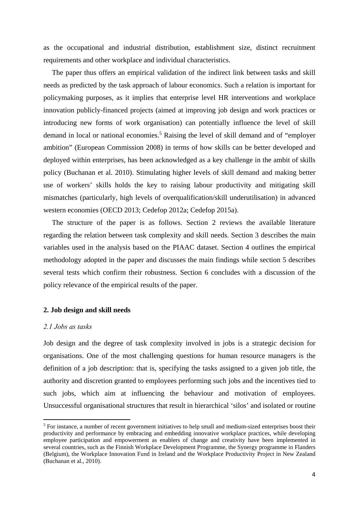as the occupational and industrial distribution, establishment size, distinct recruitment requirements and other workplace and individual characteristics.

The paper thus offers an empirical validation of the indirect link between tasks and skill needs as predicted by the task approach of labour economics. Such a relation is important for policymaking purposes, as it implies that enterprise level HR interventions and workplace innovation publicly-financed projects (aimed at improving job design and work practices or introducing new forms of work organisation) can potentially influence the level of skill demand in local or national economies.<sup>5</sup> Raising the level of skill demand and of "employer ambition" (European Commission 2008) in terms of how skills can be better developed and deployed within enterprises, has been acknowledged as a key challenge in the ambit of skills policy (Buchanan et al. 2010). Stimulating higher levels of skill demand and making better use of workers' skills holds the key to raising labour productivity and mitigating skill mismatches (particularly, high levels of overqualification/skill underutilisation) in advanced western economies (OECD 2013; Cedefop 2012a; Cedefop 2015a).

The structure of the paper is as follows. Section 2 reviews the available literature regarding the relation between task complexity and skill needs. Section 3 describes the main variables used in the analysis based on the PIAAC dataset. Section 4 outlines the empirical methodology adopted in the paper and discusses the main findings while section 5 describes several tests which confirm their robustness. Section 6 concludes with a discussion of the policy relevance of the empirical results of the paper.

#### **2. Job design and skill needs**

#### *2.1 Jobs as tasks*

Job design and the degree of task complexity involved in jobs is a strategic decision for organisations. One of the most challenging questions for human resource managers is the definition of a job description: that is, specifying the tasks assigned to a given job title, the authority and discretion granted to employees performing such jobs and the incentives tied to such jobs, which aim at influencing the behaviour and motivation of employees. Unsuccessful organisational structures that result in hierarchical 'silos' and isolated or routine

<sup>&</sup>lt;sup>5</sup> For instance, a number of recent government initiatives to help small and medium-sized enterprises boost their productivity and performance by embracing and embedding innovative workplace practices, while developing employee participation and empowerment as enablers of change and creativity have been implemented in several countries, such as the Finnish Workplace Development Programme, the Synergy programme in Flanders (Belgium), the Workplace Innovation Fund in Ireland and the Workplace Productivity Project in New Zealand (Buchanan et al., 2010).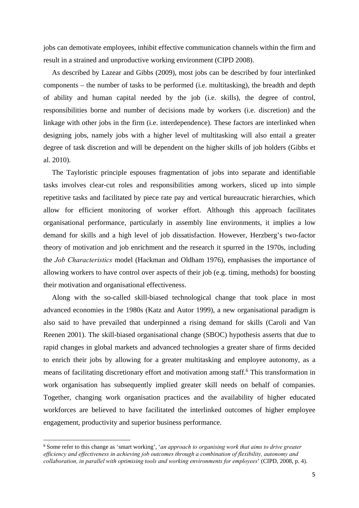jobs can demotivate employees, inhibit effective communication channels within the firm and result in a strained and unproductive working environment (CIPD 2008).

As described by Lazear and Gibbs (2009), most jobs can be described by four interlinked components – the number of tasks to be performed (i.e. multitasking), the breadth and depth of ability and human capital needed by the job (i.e. skills), the degree of control, responsibilities borne and number of decisions made by workers (i.e. discretion) and the linkage with other jobs in the firm (i.e. interdependence). These factors are interlinked when designing jobs, namely jobs with a higher level of multitasking will also entail a greater degree of task discretion and will be dependent on the higher skills of job holders (Gibbs et al. 2010).

The Tayloristic principle espouses fragmentation of jobs into separate and identifiable tasks involves clear-cut roles and responsibilities among workers, sliced up into simple repetitive tasks and facilitated by piece rate pay and vertical bureaucratic hierarchies, which allow for efficient monitoring of worker effort. Although this approach facilitates organisational performance, particularly in assembly line environments, it implies a low demand for skills and a high level of job dissatisfaction. However, Herzberg's two-factor theory of motivation and job enrichment and the research it spurred in the 1970s, including the *Job Characteristics* model (Hackman and Oldham 1976), emphasises the importance of allowing workers to have control over aspects of their job (e.g. timing, methods) for boosting their motivation and organisational effectiveness.

Along with the so-called skill-biased technological change that took place in most advanced economies in the 1980s (Katz and Autor 1999), a new organisational paradigm is also said to have prevailed that underpinned a rising demand for skills (Caroli and Van Reenen 2001). The skill-biased organisational change (SBOC) hypothesis asserts that due to rapid changes in global markets and advanced technologies a greater share of firms decided to enrich their jobs by allowing for a greater multitasking and employee autonomy, as a means of facilitating discretionary effort and motivation among staff.<sup>6</sup> This transformation in work organisation has subsequently implied greater skill needs on behalf of companies. Together, changing work organisation practices and the availability of higher educated workforces are believed to have facilitated the interlinked outcomes of higher employee engagement, productivity and superior business performance.

<sup>6</sup> Some refer to this change as 'smart working', '*an approach to organising work that aims to drive greater efficiency and effectiveness in achieving job outcomes through a combination of flexibility, autonomy and collaboration, in parallel with optimising tools and working environments for employees*' (CIPD, 2008, p. 4).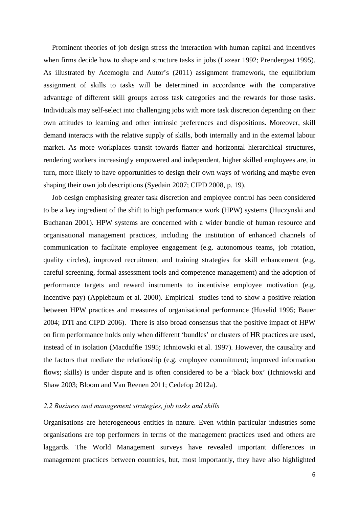Prominent theories of job design stress the interaction with human capital and incentives when firms decide how to shape and structure tasks in jobs (Lazear 1992; Prendergast 1995). As illustrated by Acemoglu and Autor's (2011) assignment framework, the equilibrium assignment of skills to tasks will be determined in accordance with the comparative advantage of different skill groups across task categories and the rewards for those tasks. Individuals may self-select into challenging jobs with more task discretion depending on their own attitudes to learning and other intrinsic preferences and dispositions. Moreover, skill demand interacts with the relative supply of skills, both internally and in the external labour market. As more workplaces transit towards flatter and horizontal hierarchical structures, rendering workers increasingly empowered and independent, higher skilled employees are, in turn, more likely to have opportunities to design their own ways of working and maybe even shaping their own job descriptions (Syedain 2007; CIPD 2008, p. 19).

Job design emphasising greater task discretion and employee control has been considered to be a key ingredient of the shift to high performance work (HPW) systems (Huczynski and Buchanan 2001). HPW systems are concerned with a wider bundle of human resource and organisational management practices, including the institution of enhanced channels of communication to facilitate employee engagement (e.g. autonomous teams, job rotation, quality circles), improved recruitment and training strategies for skill enhancement (e.g. careful screening, formal assessment tools and competence management) and the adoption of performance targets and reward instruments to incentivise employee motivation (e.g. incentive pay) (Applebaum et al. 2000). Empirical studies tend to show a positive relation between HPW practices and measures of organisational performance (Huselid 1995; Bauer 2004; DTI and CIPD 2006). There is also broad consensus that the positive impact of HPW on firm performance holds only when different 'bundles' or clusters of HR practices are used, instead of in isolation (Macduffie 1995; Ichniowski et al. 1997). However, the causality and the factors that mediate the relationship (e.g. employee commitment; improved information flows; skills) is under dispute and is often considered to be a 'black box' (Ichniowski and Shaw 2003; Bloom and Van Reenen 2011; Cedefop 2012a).

#### *2.2 Business and management strategies, job tasks and skills*

Organisations are heterogeneous entities in nature. Even within particular industries some organisations are top performers in terms of the management practices used and others are laggards. The World Management surveys have revealed important differences in management practices between countries, but, most importantly, they have also highlighted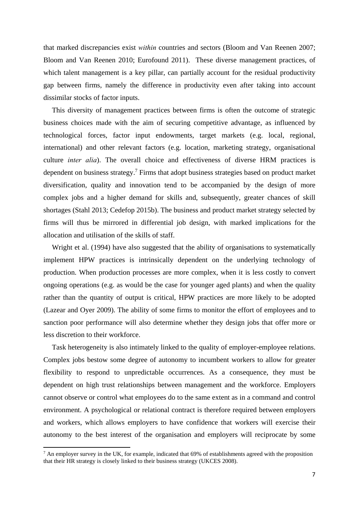that marked discrepancies exist *within* countries and sectors (Bloom and Van Reenen 2007; Bloom and Van Reenen 2010; Eurofound 2011). These diverse management practices, of which talent management is a key pillar, can partially account for the residual productivity gap between firms, namely the difference in productivity even after taking into account dissimilar stocks of factor inputs.

This diversity of management practices between firms is often the outcome of strategic business choices made with the aim of securing competitive advantage, as influenced by technological forces, factor input endowments, target markets (e.g. local, regional, international) and other relevant factors (e.g. location, marketing strategy, organisational culture *inter alia*). The overall choice and effectiveness of diverse HRM practices is dependent on business strategy.<sup>7</sup> Firms that adopt business strategies based on product market diversification, quality and innovation tend to be accompanied by the design of more complex jobs and a higher demand for skills and, subsequently, greater chances of skill shortages (Stahl 2013; Cedefop 2015b). The business and product market strategy selected by firms will thus be mirrored in differential job design, with marked implications for the allocation and utilisation of the skills of staff.

Wright et al. (1994) have also suggested that the ability of organisations to systematically implement HPW practices is intrinsically dependent on the underlying technology of production. When production processes are more complex, when it is less costly to convert ongoing operations (e.g. as would be the case for younger aged plants) and when the quality rather than the quantity of output is critical, HPW practices are more likely to be adopted (Lazear and Oyer 2009). The ability of some firms to monitor the effort of employees and to sanction poor performance will also determine whether they design jobs that offer more or less discretion to their workforce.

Task heterogeneity is also intimately linked to the quality of employer-employee relations. Complex jobs bestow some degree of autonomy to incumbent workers to allow for greater flexibility to respond to unpredictable occurrences. As a consequence, they must be dependent on high trust relationships between management and the workforce. Employers cannot observe or control what employees do to the same extent as in a command and control environment. A psychological or relational contract is therefore required between employers and workers, which allows employers to have confidence that workers will exercise their autonomy to the best interest of the organisation and employers will reciprocate by some

 $^7$  An employer survey in the UK, for example, indicated that 69% of establishments agreed with the proposition that their HR strategy is closely linked to their business strategy (UKCES 2008).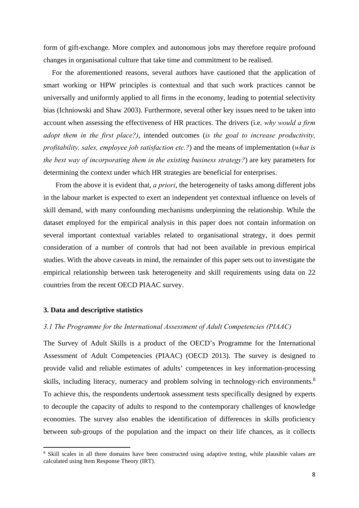form of gift-exchange. More complex and autonomous jobs may therefore require profound changes in organisational culture that take time and commitment to be realised.

For the aforementioned reasons, several authors have cautioned that the application of smart working or HPW principles is contextual and that such work practices cannot be universally and uniformly applied to all firms in the economy, leading to potential selectivity bias (Ichniowski and Shaw 2003). Furthermore, several other key issues need to be taken into account when assessing the effectiveness of HR practices. The drivers (i.e. *why would a firm adopt them in the first place?)*, intended outcomes (*is the goal to increase productivity, profitability, sales, employee job satisfaction etc.?*) and the means of implementation (*what is the best way of incorporating them in the existing business strategy?*) are key parameters for determining the context under which HR strategies are beneficial for enterprises.

 From the above it is evident that, *a priori*, the heterogeneity of tasks among different jobs in the labour market is expected to exert an independent yet contextual influence on levels of skill demand, with many confounding mechanisms underpinning the relationship. While the dataset employed for the empirical analysis in this paper does not contain information on several important contextual variables related to organisational strategy, it does permit consideration of a number of controls that had not been available in previous empirical studies. With the above caveats in mind, the remainder of this paper sets out to investigate the empirical relationship between task heterogeneity and skill requirements using data on 22 countries from the recent OECD PIAAC survey.

#### **3. Data and descriptive statistics**

#### *3.1 The Programme for the International Assessment of Adult Competencies (PIAAC)*

The Survey of Adult Skills is a product of the OECD's Programme for the International Assessment of Adult Competencies (PIAAC) (OECD 2013). The survey is designed to provide valid and reliable estimates of adults' competences in key information‐processing skills, including literacy, numeracy and problem solving in technology-rich environments.<sup>8</sup> To achieve this, the respondents undertook assessment tests specifically designed by experts to decouple the capacity of adults to respond to the contemporary challenges of knowledge economies. The survey also enables the identification of differences in skills proficiency between sub‐groups of the population and the impact on their life chances, as it collects

<sup>&</sup>lt;sup>8</sup> Skill scales in all three domains have been constructed using adaptive testing, while plausible values are calculated using Item Response Theory (IRT).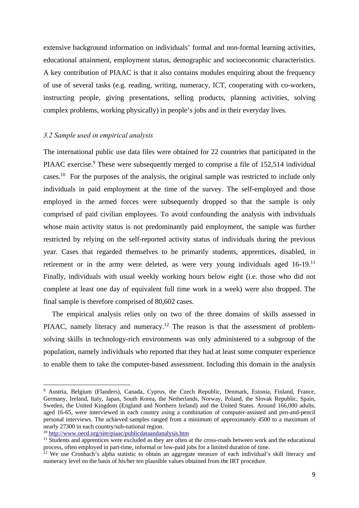extensive background information on individuals' formal and non-formal learning activities, educational attainment, employment status, demographic and socioeconomic characteristics. A key contribution of PIAAC is that it also contains modules enquiring about the frequency of use of several tasks (e.g. reading, writing, numeracy, ICT, cooperating with co-workers, instructing people, giving presentations, selling products, planning activities, solving complex problems, working physically) in people's jobs and in their everyday lives.

#### *3.2 Sample used in empirical analysis*

The international public use data files were obtained for 22 countries that participated in the PIAAC exercise.<sup>9</sup> These were subsequently merged to comprise a file of 152,514 individual cases.<sup>10</sup> For the purposes of the analysis, the original sample was restricted to include only individuals in paid employment at the time of the survey. The self-employed and those employed in the armed forces were subsequently dropped so that the sample is only comprised of paid civilian employees. To avoid confounding the analysis with individuals whose main activity status is not predominantly paid employment, the sample was further restricted by relying on the self-reported activity status of individuals during the previous year. Cases that regarded themselves to be primarily students, apprentices, disabled, in retirement or in the army were deleted, as were very young individuals aged 16-19.<sup>11</sup> Finally, individuals with usual weekly working hours below eight (i.e. those who did not complete at least one day of equivalent full time work in a week) were also dropped. The final sample is therefore comprised of 80,602 cases.

The empirical analysis relies only on two of the three domains of skills assessed in PIAAC, namely literacy and numeracy.<sup>12</sup> The reason is that the assessment of problemsolving skills in technology-rich environments was only administered to a subgroup of the population, namely individuals who reported that they had at least some computer experience to enable them to take the computer-based assessment. Including this domain in the analysis

<sup>&</sup>lt;sup>9</sup> Austria, Belgium (Flanders), Canada, Cyprus, the Czech Republic, Denmark, Estonia, Finland, France, Germany, Ireland, Italy, Japan, South Korea, the Netherlands, Norway, Poland, the Slovak Republic, Spain, Sweden, the United Kingdom (England and Northern Ireland) and the United States. Around 166,000 adults, aged 16-65, were interviewed in each country using a combination of computer-assisted and pen-and-pencil personal interviews. The achieved samples ranged from a minimum of approximately 4500 to a maximum of nearly 27300 in each country/sub-national region.<br><sup>10</sup> http://www.oecd.org/site/piaac/publicdataandanalysis.htm

 $11$  Students and apprentices were excluded as they are often at the cross-roads between work and the educational process, often employed in part-time, informal or low-paid jobs for a limited duration of time.

 $12$  We use Cronbach's alpha statistic to obtain an aggregate measure of each individual's skill literacy and numeracy level on the basis of his/her ten plausible values obtained from the IRT procedure.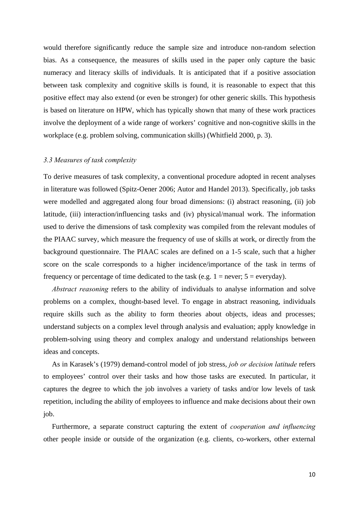would therefore significantly reduce the sample size and introduce non-random selection bias. As a consequence, the measures of skills used in the paper only capture the basic numeracy and literacy skills of individuals. It is anticipated that if a positive association between task complexity and cognitive skills is found, it is reasonable to expect that this positive effect may also extend (or even be stronger) for other generic skills. This hypothesis is based on literature on HPW, which has typically shown that many of these work practices involve the deployment of a wide range of workers' cognitive and non-cognitive skills in the workplace (e.g. problem solving, communication skills) (Whitfield 2000, p. 3).

#### *3.3 Measures of task complexity*

To derive measures of task complexity, a conventional procedure adopted in recent analyses in literature was followed (Spitz-Oener 2006; Autor and Handel 2013). Specifically, job tasks were modelled and aggregated along four broad dimensions: (i) abstract reasoning, (ii) job latitude, (iii) interaction/influencing tasks and (iv) physical/manual work. The information used to derive the dimensions of task complexity was compiled from the relevant modules of the PIAAC survey, which measure the frequency of use of skills at work, or directly from the background questionnaire. The PIAAC scales are defined on a 1-5 scale, such that a higher score on the scale corresponds to a higher incidence/importance of the task in terms of frequency or percentage of time dedicated to the task (e.g.  $1 =$  never;  $5 =$  everyday).

*Abstract reasoning* refers to the ability of individuals to analyse information and solve problems on a complex, thought-based level. To engage in abstract reasoning, individuals require skills such as the ability to form theories about objects, ideas and processes; understand subjects on a complex level through analysis and evaluation; apply knowledge in problem-solving using theory and complex analogy and understand relationships between ideas and concepts.

As in Karasek's (1979) demand-control model of job stress, *job or decision latitude* refers to employees' control over their tasks and how those tasks are executed. In particular, it captures the degree to which the job involves a variety of tasks and/or low levels of task repetition, including the ability of employees to influence and make decisions about their own job.

Furthermore, a separate construct capturing the extent of *cooperation and influencing* other people inside or outside of the organization (e.g. clients, co-workers, other external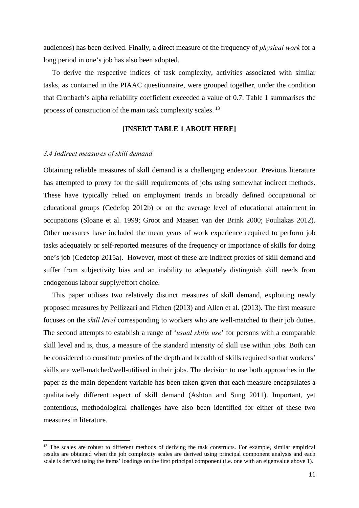audiences) has been derived. Finally, a direct measure of the frequency of *physical work* for a long period in one's job has also been adopted.

To derive the respective indices of task complexity, activities associated with similar tasks, as contained in the PIAAC questionnaire, were grouped together, under the condition that Cronbach's alpha reliability coefficient exceeded a value of 0.7. Table 1 summarises the process of construction of the main task complexity scales.<sup>13</sup>

#### **[INSERT TABLE 1 ABOUT HERE]**

#### *3.4 Indirect measures of skill demand*

Obtaining reliable measures of skill demand is a challenging endeavour. Previous literature has attempted to proxy for the skill requirements of jobs using somewhat indirect methods. These have typically relied on employment trends in broadly defined occupational or educational groups (Cedefop 2012b) or on the average level of educational attainment in occupations (Sloane et al. 1999; Groot and Maasen van der Brink 2000; Pouliakas 2012). Other measures have included the mean years of work experience required to perform job tasks adequately or self-reported measures of the frequency or importance of skills for doing one's job (Cedefop 2015a). However, most of these are indirect proxies of skill demand and suffer from subjectivity bias and an inability to adequately distinguish skill needs from endogenous labour supply/effort choice.

This paper utilises two relatively distinct measures of skill demand, exploiting newly proposed measures by Pellizzari and Fichen (2013) and Allen et al. (2013). The first measure focuses on the *skill level* corresponding to workers who are well-matched to their job duties. The second attempts to establish a range of '*usual skills use*' for persons with a comparable skill level and is, thus, a measure of the standard intensity of skill use within jobs. Both can be considered to constitute proxies of the depth and breadth of skills required so that workers' skills are well-matched/well-utilised in their jobs. The decision to use both approaches in the paper as the main dependent variable has been taken given that each measure encapsulates a qualitatively different aspect of skill demand (Ashton and Sung 2011). Important, yet contentious, methodological challenges have also been identified for either of these two measures in literature.

<sup>&</sup>lt;sup>13</sup> The scales are robust to different methods of deriving the task constructs. For example, similar empirical results are obtained when the job complexity scales are derived using principal component analysis and each scale is derived using the items' loadings on the first principal component (i.e. one with an eigenvalue above 1).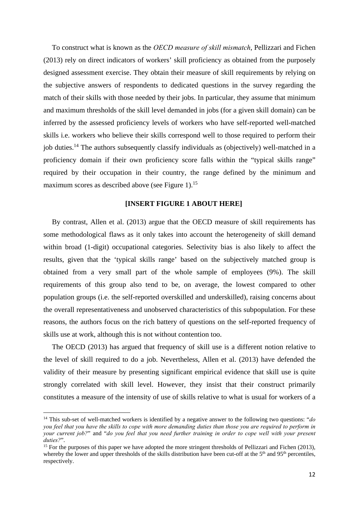To construct what is known as the *OECD measure of skill mismatch*, Pellizzari and Fichen (2013) rely on direct indicators of workers' skill proficiency as obtained from the purposely designed assessment exercise. They obtain their measure of skill requirements by relying on the subjective answers of respondents to dedicated questions in the survey regarding the match of their skills with those needed by their jobs. In particular, they assume that minimum and maximum thresholds of the skill level demanded in jobs (for a given skill domain) can be inferred by the assessed proficiency levels of workers who have self-reported well-matched skills i.e. workers who believe their skills correspond well to those required to perform their job duties.<sup>14</sup> The authors subsequently classify individuals as (objectively) well-matched in a proficiency domain if their own proficiency score falls within the "typical skills range" required by their occupation in their country, the range defined by the minimum and maximum scores as described above (see Figure 1).<sup>15</sup>

#### **[INSERT FIGURE 1 ABOUT HERE]**

By contrast, Allen et al. (2013) argue that the OECD measure of skill requirements has some methodological flaws as it only takes into account the heterogeneity of skill demand within broad (1-digit) occupational categories. Selectivity bias is also likely to affect the results, given that the 'typical skills range' based on the subjectively matched group is obtained from a very small part of the whole sample of employees (9%). The skill requirements of this group also tend to be, on average, the lowest compared to other population groups (i.e. the self-reported overskilled and underskilled), raising concerns about the overall representativeness and unobserved characteristics of this subpopulation. For these reasons, the authors focus on the rich battery of questions on the self-reported frequency of skills use at work, although this is not without contention too.

The OECD (2013) has argued that frequency of skill use is a different notion relative to the level of skill required to do a job. Nevertheless, Allen et al. (2013) have defended the validity of their measure by presenting significant empirical evidence that skill use is quite strongly correlated with skill level. However, they insist that their construct primarily constitutes a measure of the intensity of use of skills relative to what is usual for workers of a

<sup>14</sup> This sub-set of well-matched workers is identified by a negative answer to the following two questions: "*do you feel that you have the skills to cope with more demanding duties than those you are required to perform in your current job?*" and "*do you feel that you need further training in order to cope well with your present duties?"*. <sup>15</sup> For the purposes of this paper we have adopted the more stringent thresholds of Pellizzari and Fichen (2013),

whereby the lower and upper thresholds of the skills distribution have been cut-off at the  $5<sup>th</sup>$  and  $95<sup>th</sup>$  percentiles, respectively.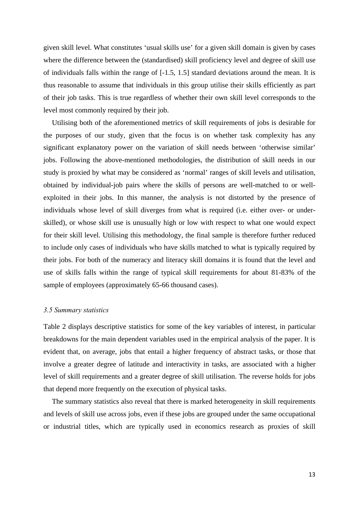given skill level. What constitutes 'usual skills use' for a given skill domain is given by cases where the difference between the (standardised) skill proficiency level and degree of skill use of individuals falls within the range of [-1.5, 1.5] standard deviations around the mean. It is thus reasonable to assume that individuals in this group utilise their skills efficiently as part of their job tasks. This is true regardless of whether their own skill level corresponds to the level most commonly required by their job.

Utilising both of the aforementioned metrics of skill requirements of jobs is desirable for the purposes of our study, given that the focus is on whether task complexity has any significant explanatory power on the variation of skill needs between 'otherwise similar' jobs. Following the above-mentioned methodologies, the distribution of skill needs in our study is proxied by what may be considered as 'normal' ranges of skill levels and utilisation, obtained by individual-job pairs where the skills of persons are well-matched to or wellexploited in their jobs. In this manner, the analysis is not distorted by the presence of individuals whose level of skill diverges from what is required (i.e. either over- or underskilled), or whose skill use is unusually high or low with respect to what one would expect for their skill level. Utilising this methodology, the final sample is therefore further reduced to include only cases of individuals who have skills matched to what is typically required by their jobs. For both of the numeracy and literacy skill domains it is found that the level and use of skills falls within the range of typical skill requirements for about 81-83% of the sample of employees (approximately 65-66 thousand cases).

#### *3.5 Summary statistics*

Table 2 displays descriptive statistics for some of the key variables of interest, in particular breakdowns for the main dependent variables used in the empirical analysis of the paper. It is evident that, on average, jobs that entail a higher frequency of abstract tasks, or those that involve a greater degree of latitude and interactivity in tasks, are associated with a higher level of skill requirements and a greater degree of skill utilisation. The reverse holds for jobs that depend more frequently on the execution of physical tasks.

The summary statistics also reveal that there is marked heterogeneity in skill requirements and levels of skill use across jobs, even if these jobs are grouped under the same occupational or industrial titles, which are typically used in economics research as proxies of skill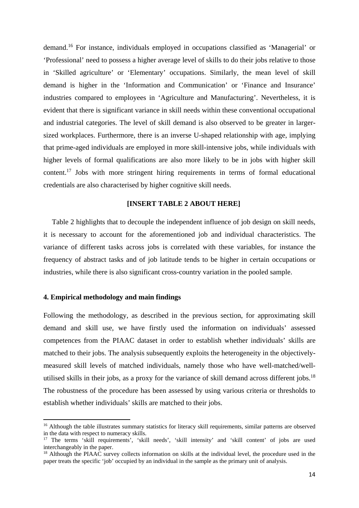demand.16 For instance, individuals employed in occupations classified as 'Managerial' or 'Professional' need to possess a higher average level of skills to do their jobs relative to those in 'Skilled agriculture' or 'Elementary' occupations. Similarly, the mean level of skill demand is higher in the 'Information and Communication' or 'Finance and Insurance' industries compared to employees in 'Agriculture and Manufacturing'. Nevertheless, it is evident that there is significant variance in skill needs within these conventional occupational and industrial categories. The level of skill demand is also observed to be greater in largersized workplaces. Furthermore, there is an inverse U-shaped relationship with age, implying that prime-aged individuals are employed in more skill-intensive jobs, while individuals with higher levels of formal qualifications are also more likely to be in jobs with higher skill content.17 Jobs with more stringent hiring requirements in terms of formal educational credentials are also characterised by higher cognitive skill needs.

#### **[INSERT TABLE 2 ABOUT HERE]**

Table 2 highlights that to decouple the independent influence of job design on skill needs, it is necessary to account for the aforementioned job and individual characteristics. The variance of different tasks across jobs is correlated with these variables, for instance the frequency of abstract tasks and of job latitude tends to be higher in certain occupations or industries, while there is also significant cross-country variation in the pooled sample.

#### **4. Empirical methodology and main findings**

Following the methodology, as described in the previous section, for approximating skill demand and skill use, we have firstly used the information on individuals' assessed competences from the PIAAC dataset in order to establish whether individuals' skills are matched to their jobs. The analysis subsequently exploits the heterogeneity in the objectivelymeasured skill levels of matched individuals, namely those who have well-matched/wellutilised skills in their jobs, as a proxy for the variance of skill demand across different jobs.<sup>18</sup> The robustness of the procedure has been assessed by using various criteria or thresholds to establish whether individuals' skills are matched to their jobs.

<sup>&</sup>lt;sup>16</sup> Although the table illustrates summary statistics for literacy skill requirements, similar patterns are observed in the data with respect to numeracy skills.

<sup>17</sup> The terms 'skill requirements', 'skill needs', 'skill intensity' and 'skill content' of jobs are used interchangeably in the paper.

 $18$  Although the PIAAC survey collects information on skills at the individual level, the procedure used in the paper treats the specific 'job' occupied by an individual in the sample as the primary unit of analysis.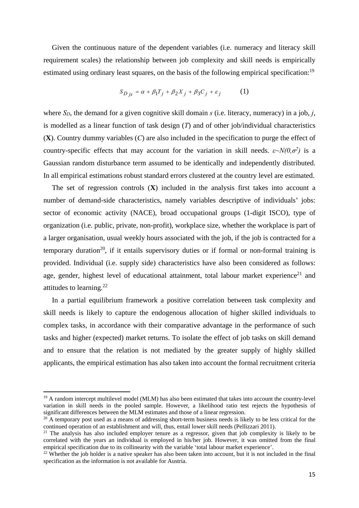Given the continuous nature of the dependent variables (i.e. numeracy and literacy skill requirement scales) the relationship between job complexity and skill needs is empirically estimated using ordinary least squares, on the basis of the following empirical specification:<sup>19</sup>

$$
S_{D\,js} = \alpha + \beta_1 T_j + \beta_2 X_j + \beta_3 C_j + \varepsilon_j \tag{1}
$$

where *SD*, the demand for a given cognitive skill domain *s* (i.e. literacy, numeracy) in a job, *j*, is modelled as a linear function of task design (*T*) and of other job/individual characteristics (**X**). Country dummy variables (*C*) are also included in the specification to purge the effect of country-specific effects that may account for the variation in skill needs.  $\varepsilon \sim N(0, \sigma^2)$  is a Gaussian random disturbance term assumed to be identically and independently distributed. In all empirical estimations robust standard errors clustered at the country level are estimated.

The set of regression controls (**X**) included in the analysis first takes into account a number of demand-side characteristics, namely variables descriptive of individuals' jobs: sector of economic activity (NACE), broad occupational groups (1-digit ISCO), type of organization (i.e. public, private, non-profit), workplace size, whether the workplace is part of a larger organisation, usual weekly hours associated with the job, if the job is contracted for a temporary duration<sup>20</sup>, if it entails supervisory duties or if formal or non-formal training is provided. Individual (i.e. supply side) characteristics have also been considered as follows: age, gender, highest level of educational attainment, total labour market experience<sup>21</sup> and attitudes to learning. $22$ 

In a partial equilibrium framework a positive correlation between task complexity and skill needs is likely to capture the endogenous allocation of higher skilled individuals to complex tasks, in accordance with their comparative advantage in the performance of such tasks and higher (expected) market returns. To isolate the effect of job tasks on skill demand and to ensure that the relation is not mediated by the greater supply of highly skilled applicants, the empirical estimation has also taken into account the formal recruitment criteria

<sup>&</sup>lt;sup>19</sup> A random intercept multilevel model (MLM) has also been estimated that takes into account the country-level variation in skill needs in the pooled sample. However, a likelihood ratio test rejects the hypothesis of significant differences between the MLM estimates and those of a linear regression.

 $20$  A temporary post used as a means of addressing short-term business needs is likely to be less critical for the continued operation of an establishment and will, thus, entail lower skill needs (Pellizzari 2011).

<sup>&</sup>lt;sup>21</sup> The analysis has also included employer tenure as a regressor, given that job complexity is likely to be correlated with the years an individual is employed in his/her job. However, it was omitted from the final empirical specification due to its collinearity with the variable 'total labour market experience'.

 $22$  Whether the job holder is a native speaker has also been taken into account, but it is not included in the final specification as the information is not available for Austria.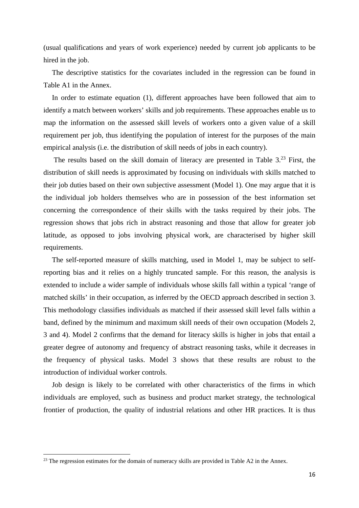(usual qualifications and years of work experience) needed by current job applicants to be hired in the job.

The descriptive statistics for the covariates included in the regression can be found in Table A1 in the Annex.

In order to estimate equation (1), different approaches have been followed that aim to identify a match between workers' skills and job requirements. These approaches enable us to map the information on the assessed skill levels of workers onto a given value of a skill requirement per job, thus identifying the population of interest for the purposes of the main empirical analysis (i.e. the distribution of skill needs of jobs in each country).

The results based on the skill domain of literacy are presented in Table 3.<sup>23</sup> First, the distribution of skill needs is approximated by focusing on individuals with skills matched to their job duties based on their own subjective assessment (Model 1). One may argue that it is the individual job holders themselves who are in possession of the best information set concerning the correspondence of their skills with the tasks required by their jobs. The regression shows that jobs rich in abstract reasoning and those that allow for greater job latitude, as opposed to jobs involving physical work, are characterised by higher skill requirements.

The self-reported measure of skills matching, used in Model 1, may be subject to selfreporting bias and it relies on a highly truncated sample. For this reason, the analysis is extended to include a wider sample of individuals whose skills fall within a typical 'range of matched skills' in their occupation, as inferred by the OECD approach described in section 3. This methodology classifies individuals as matched if their assessed skill level falls within a band, defined by the minimum and maximum skill needs of their own occupation (Models 2, 3 and 4). Model 2 confirms that the demand for literacy skills is higher in jobs that entail a greater degree of autonomy and frequency of abstract reasoning tasks, while it decreases in the frequency of physical tasks. Model 3 shows that these results are robust to the introduction of individual worker controls.

Job design is likely to be correlated with other characteristics of the firms in which individuals are employed, such as business and product market strategy, the technological frontier of production, the quality of industrial relations and other HR practices. It is thus

 $^{23}$  The regression estimates for the domain of numeracy skills are provided in Table A2 in the Annex.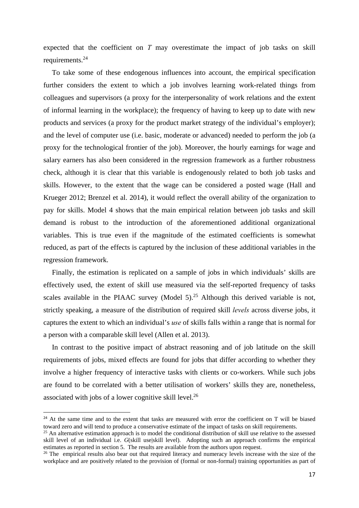expected that the coefficient on *T* may overestimate the impact of job tasks on skill requirements.<sup>24</sup>

To take some of these endogenous influences into account, the empirical specification further considers the extent to which a job involves learning work-related things from colleagues and supervisors (a proxy for the interpersonality of work relations and the extent of informal learning in the workplace); the frequency of having to keep up to date with new products and services (a proxy for the product market strategy of the individual's employer); and the level of computer use (i.e. basic, moderate or advanced) needed to perform the job (a proxy for the technological frontier of the job). Moreover, the hourly earnings for wage and salary earners has also been considered in the regression framework as a further robustness check, although it is clear that this variable is endogenously related to both job tasks and skills. However, to the extent that the wage can be considered a posted wage (Hall and Krueger 2012; Brenzel et al. 2014), it would reflect the overall ability of the organization to pay for skills. Model 4 shows that the main empirical relation between job tasks and skill demand is robust to the introduction of the aforementioned additional organizational variables. This is true even if the magnitude of the estimated coefficients is somewhat reduced, as part of the effects is captured by the inclusion of these additional variables in the regression framework.

Finally, the estimation is replicated on a sample of jobs in which individuals' skills are effectively used, the extent of skill use measured via the self-reported frequency of tasks scales available in the PIAAC survey (Model 5).<sup>25</sup> Although this derived variable is not, strictly speaking, a measure of the distribution of required skill *levels* across diverse jobs, it captures the extent to which an individual's *use* of skills falls within a range that is normal for a person with a comparable skill level (Allen et al. 2013).

In contrast to the positive impact of abstract reasoning and of job latitude on the skill requirements of jobs, mixed effects are found for jobs that differ according to whether they involve a higher frequency of interactive tasks with clients or co-workers. While such jobs are found to be correlated with a better utilisation of workers' skills they are, nonetheless, associated with jobs of a lower cognitive skill level.26

<sup>&</sup>lt;sup>24</sup> At the same time and to the extent that tasks are measured with error the coefficient on T will be biased toward zero and will tend to produce a conservative estimate of the impact of tasks on skill requirements. 25 An alternative estimation approach is to model the conditional distribution of skill use relative to the assessed

skill level of an individual i.e. *G*(skill use|skill level). Adopting such an approach confirms the empirical estimates as reported in section 5. The results are available from the authors upon request.

<sup>&</sup>lt;sup>26</sup> The empirical results also bear out that required literacy and numeracy levels increase with the size of the workplace and are positively related to the provision of (formal or non-formal) training opportunities as part of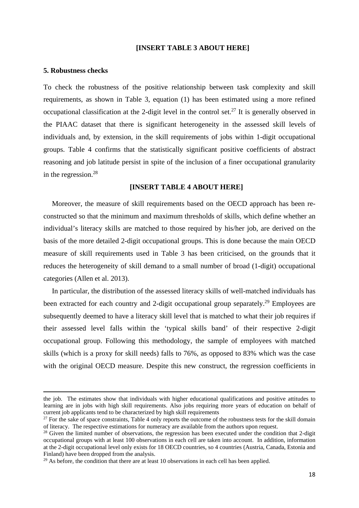#### **[INSERT TABLE 3 ABOUT HERE]**

#### **5. Robustness checks**

To check the robustness of the positive relationship between task complexity and skill requirements, as shown in Table 3, equation (1) has been estimated using a more refined occupational classification at the 2-digit level in the control set.<sup>27</sup> It is generally observed in the PIAAC dataset that there is significant heterogeneity in the assessed skill levels of individuals and, by extension, in the skill requirements of jobs within 1-digit occupational groups. Table 4 confirms that the statistically significant positive coefficients of abstract reasoning and job latitude persist in spite of the inclusion of a finer occupational granularity in the regression.28

#### **[INSERT TABLE 4 ABOUT HERE]**

Moreover, the measure of skill requirements based on the OECD approach has been reconstructed so that the minimum and maximum thresholds of skills, which define whether an individual's literacy skills are matched to those required by his/her job, are derived on the basis of the more detailed 2-digit occupational groups. This is done because the main OECD measure of skill requirements used in Table 3 has been criticised, on the grounds that it reduces the heterogeneity of skill demand to a small number of broad (1-digit) occupational categories (Allen et al. 2013).

In particular, the distribution of the assessed literacy skills of well-matched individuals has been extracted for each country and 2-digit occupational group separately.<sup>29</sup> Employees are subsequently deemed to have a literacy skill level that is matched to what their job requires if their assessed level falls within the 'typical skills band' of their respective 2-digit occupational group. Following this methodology, the sample of employees with matched skills (which is a proxy for skill needs) falls to 76%, as opposed to 83% which was the case with the original OECD measure. Despite this new construct, the regression coefficients in

<u> Andreas Andreas Andreas Andreas Andreas Andreas Andreas Andreas Andreas Andreas Andreas Andreas Andreas Andr</u>

the job. The estimates show that individuals with higher educational qualifications and positive attitudes to learning are in jobs with high skill requirements. Also jobs requiring more years of education on behalf of current job applicants tend to be characterized by high skill requirements

 $27$  For the sake of space constraints, Table 4 only reports the outcome of the robustness tests for the skill domain of literacy. The respective estimations for numeracy are available from the authors upon request.

<sup>&</sup>lt;sup>28</sup> Given the limited number of observations, the regression has been executed under the condition that 2-digit occupational groups with at least 100 observations in each cell are taken into account. In addition, information at the 2-digit occupational level only exists for 18 OECD countries, so 4 countries (Austria, Canada, Estonia and Finland) have been dropped from the analysis.

<sup>&</sup>lt;sup>29</sup> As before, the condition that there are at least 10 observations in each cell has been applied.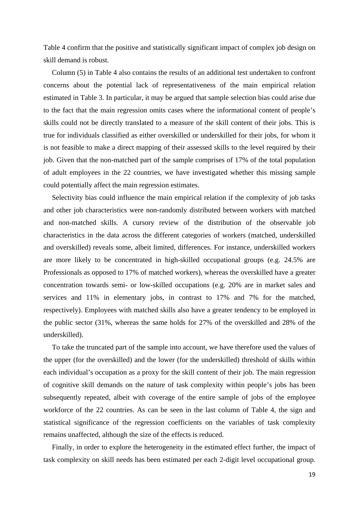Table 4 confirm that the positive and statistically significant impact of complex job design on skill demand is robust.

Column (5) in Table 4 also contains the results of an additional test undertaken to confront concerns about the potential lack of representativeness of the main empirical relation estimated in Table 3. In particular, it may be argued that sample selection bias could arise due to the fact that the main regression omits cases where the informational content of people's skills could not be directly translated to a measure of the skill content of their jobs. This is true for individuals classified as either overskilled or underskilled for their jobs, for whom it is not feasible to make a direct mapping of their assessed skills to the level required by their job. Given that the non-matched part of the sample comprises of 17% of the total population of adult employees in the 22 countries, we have investigated whether this missing sample could potentially affect the main regression estimates.

Selectivity bias could influence the main empirical relation if the complexity of job tasks and other job characteristics were non-randomly distributed between workers with matched and non-matched skills. A cursory review of the distribution of the observable job characteristics in the data across the different categories of workers (matched, underskilled and overskilled) reveals some, albeit limited, differences. For instance, underskilled workers are more likely to be concentrated in high-skilled occupational groups (e.g. 24.5% are Professionals as opposed to 17% of matched workers), whereas the overskilled have a greater concentration towards semi- or low-skilled occupations (e.g. 20% are in market sales and services and 11% in elementary jobs, in contrast to 17% and 7% for the matched, respectively). Employees with matched skills also have a greater tendency to be employed in the public sector (31%, whereas the same holds for 27% of the overskilled and 28% of the underskilled).

To take the truncated part of the sample into account, we have therefore used the values of the upper (for the overskilled) and the lower (for the underskilled) threshold of skills within each individual's occupation as a proxy for the skill content of their job. The main regression of cognitive skill demands on the nature of task complexity within people's jobs has been subsequently repeated, albeit with coverage of the entire sample of jobs of the employee workforce of the 22 countries. As can be seen in the last column of Table 4, the sign and statistical significance of the regression coefficients on the variables of task complexity remains unaffected, although the size of the effects is reduced.

Finally, in order to explore the heterogeneity in the estimated effect further, the impact of task complexity on skill needs has been estimated per each 2-digit level occupational group.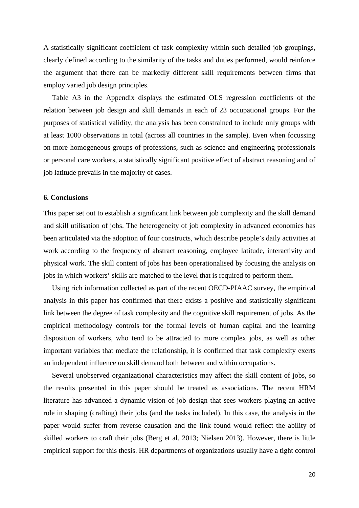A statistically significant coefficient of task complexity within such detailed job groupings, clearly defined according to the similarity of the tasks and duties performed, would reinforce the argument that there can be markedly different skill requirements between firms that employ varied job design principles.

Table A3 in the Appendix displays the estimated OLS regression coefficients of the relation between job design and skill demands in each of 23 occupational groups. For the purposes of statistical validity, the analysis has been constrained to include only groups with at least 1000 observations in total (across all countries in the sample). Even when focussing on more homogeneous groups of professions, such as science and engineering professionals or personal care workers, a statistically significant positive effect of abstract reasoning and of job latitude prevails in the majority of cases.

#### **6. Conclusions**

This paper set out to establish a significant link between job complexity and the skill demand and skill utilisation of jobs. The heterogeneity of job complexity in advanced economies has been articulated via the adoption of four constructs, which describe people's daily activities at work according to the frequency of abstract reasoning, employee latitude, interactivity and physical work. The skill content of jobs has been operationalised by focusing the analysis on jobs in which workers' skills are matched to the level that is required to perform them.

Using rich information collected as part of the recent OECD-PIAAC survey, the empirical analysis in this paper has confirmed that there exists a positive and statistically significant link between the degree of task complexity and the cognitive skill requirement of jobs. As the empirical methodology controls for the formal levels of human capital and the learning disposition of workers, who tend to be attracted to more complex jobs, as well as other important variables that mediate the relationship, it is confirmed that task complexity exerts an independent influence on skill demand both between and within occupations.

Several unobserved organizational characteristics may affect the skill content of jobs, so the results presented in this paper should be treated as associations. The recent HRM literature has advanced a dynamic vision of job design that sees workers playing an active role in shaping (crafting) their jobs (and the tasks included). In this case, the analysis in the paper would suffer from reverse causation and the link found would reflect the ability of skilled workers to craft their jobs (Berg et al. 2013; Nielsen 2013). However, there is little empirical support for this thesis. HR departments of organizations usually have a tight control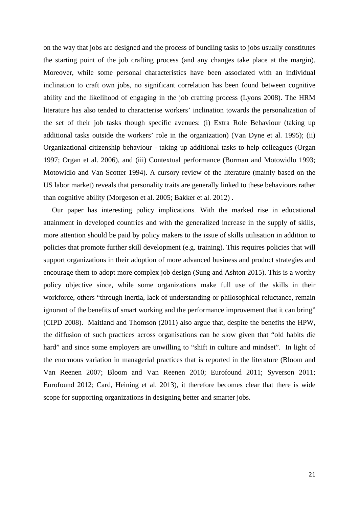on the way that jobs are designed and the process of bundling tasks to jobs usually constitutes the starting point of the job crafting process (and any changes take place at the margin). Moreover, while some personal characteristics have been associated with an individual inclination to craft own jobs, no significant correlation has been found between cognitive ability and the likelihood of engaging in the job crafting process (Lyons 2008). The HRM literature has also tended to characterise workers' inclination towards the personalization of the set of their job tasks though specific avenues: (i) Extra Role Behaviour (taking up additional tasks outside the workers' role in the organization) (Van Dyne et al. 1995); (ii) Organizational citizenship behaviour - taking up additional tasks to help colleagues (Organ 1997; Organ et al. 2006), and (iii) Contextual performance (Borman and Motowidlo 1993; Motowidlo and Van Scotter 1994). A cursory review of the literature (mainly based on the US labor market) reveals that personality traits are generally linked to these behaviours rather than cognitive ability (Morgeson et al. 2005; Bakker et al. 2012) .

Our paper has interesting policy implications. With the marked rise in educational attainment in developed countries and with the generalized increase in the supply of skills, more attention should be paid by policy makers to the issue of skills utilisation in addition to policies that promote further skill development (e.g. training). This requires policies that will support organizations in their adoption of more advanced business and product strategies and encourage them to adopt more complex job design (Sung and Ashton 2015). This is a worthy policy objective since, while some organizations make full use of the skills in their workforce, others "through inertia, lack of understanding or philosophical reluctance, remain ignorant of the benefits of smart working and the performance improvement that it can bring" (CIPD 2008). Maitland and Thomson (2011) also argue that, despite the benefits the HPW, the diffusion of such practices across organisations can be slow given that "old habits die hard" and since some employers are unwilling to "shift in culture and mindset". In light of the enormous variation in managerial practices that is reported in the literature (Bloom and Van Reenen 2007; Bloom and Van Reenen 2010; Eurofound 2011; Syverson 2011; Eurofound 2012; Card, Heining et al. 2013), it therefore becomes clear that there is wide scope for supporting organizations in designing better and smarter jobs.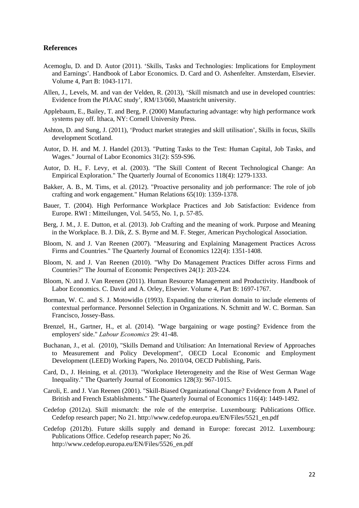#### **References**

- Acemoglu, D. and D. Autor (2011). 'Skills, Tasks and Technologies: Implications for Employment and Earnings'. Handbook of Labor Economics. D. Card and O. Ashenfelter. Amsterdam, Elsevier. Volume 4, Part B: 1043-1171.
- Allen, J., Levels, M. and van der Velden, R. (2013), 'Skill mismatch and use in developed countries: Evidence from the PIAAC study', RM/13/060, Maastricht university.
- Applebaum, E., Bailey, T. and Berg, P. (2000) Manufacturing advantage: why high performance work systems pay off. Ithaca, NY: Cornell University Press.
- Ashton, D. and Sung, J. (2011), 'Product market strategies and skill utilisation', Skills in focus, Skills development Scotland.
- Autor, D. H. and M. J. Handel (2013). "Putting Tasks to the Test: Human Capital, Job Tasks, and Wages." Journal of Labor Economics 31(2): S59-S96.
- Autor, D. H., F. Levy, et al. (2003). "The Skill Content of Recent Technological Change: An Empirical Exploration." The Quarterly Journal of Economics 118(4): 1279-1333.
- Bakker, A. B., M. Tims, et al. (2012). "Proactive personality and job performance: The role of job crafting and work engagement." Human Relations 65(10): 1359-1378.
- Bauer, T. (2004). High Performance Workplace Practices and Job Satisfaction: Evidence from Europe. RWI : Mitteilungen, Vol. 54/55, No. 1, p. 57-85.
- Berg, J. M., J. E. Dutton, et al. (2013). Job Crafting and the meaning of work. Purpose and Meaning in the Workplace. B. J. Dik, Z. S. Byrne and M. F. Steger, American Psychological Association.
- Bloom, N. and J. Van Reenen (2007). "Measuring and Explaining Management Practices Across Firms and Countries." The Quarterly Journal of Economics 122(4): 1351-1408.
- Bloom, N. and J. Van Reenen (2010). "Why Do Management Practices Differ across Firms and Countries?" The Journal of Economic Perspectives 24(1): 203-224.
- Bloom, N. and J. Van Reenen (2011). Human Resource Management and Productivity. Handbook of Labor Economics. C. David and A. Orley, Elsevier. Volume 4, Part B: 1697-1767.
- Borman, W. C. and S. J. Motowidlo (1993). Expanding the criterion domain to include elements of contextual performance. Personnel Selection in Organizations. N. Schmitt and W. C. Borman. San Francisco, Jossey-Bass.
- Brenzel, H., Gartner, H., et al. (2014). "Wage bargaining or wage posting? Evidence from the employers' side." *Labour Economics* 29: 41-48.
- Buchanan, J., et al. (2010), "Skills Demand and Utilisation: An International Review of Approaches to Measurement and Policy Development", OECD Local Economic and Employment Development (LEED) Working Papers, No. 2010/04, OECD Publishing, Paris.
- Card, D., J. Heining, et al. (2013). "Workplace Heterogeneity and the Rise of West German Wage Inequality." The Quarterly Journal of Economics 128(3): 967-1015.
- Caroli, E. and J. Van Reenen (2001). "Skill-Biased Organizational Change? Evidence from A Panel of British and French Establishments." The Quarterly Journal of Economics 116(4): 1449-1492.
- Cedefop (2012a). Skill mismatch: the role of the enterprise. Luxembourg: Publications Office. Cedefop research paper; No 21. http://www.cedefop.europa.eu/EN/Files/5521\_en.pdf
- Cedefop (2012b). Future skills supply and demand in Europe: forecast 2012. Luxembourg: Publications Office. Cedefop research paper; No 26. http://www.cedefop.europa.eu/EN/Files/5526\_en.pdf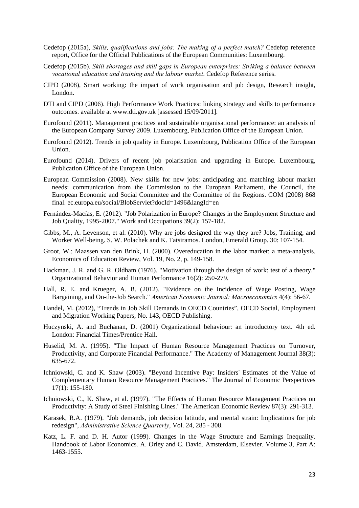- Cedefop (2015a), *Skills, qualifications and jobs: The making of a perfect match?* Cedefop reference report, Office for the Official Publications of the European Communities: Luxembourg.
- Cedefop (2015b). *Skill shortages and skill gaps in European enterprises: Striking a balance between vocational education and training and the labour market*. Cedefop Reference series.
- CIPD (2008), Smart working: the impact of work organisation and job design, Research insight, London.
- DTI and CIPD (2006). High Performance Work Practices: linking strategy and skills to performance outcomes. available at www.dti.gov.uk [assessed 15/09/2011].
- Eurofound (2011). Management practices and sustainable organisational performance: an analysis of the European Company Survey 2009. Luxembourg, Publication Office of the European Union.
- Eurofound (2012). Trends in job quality in Europe. Luxembourg, Publication Office of the European Union.
- Eurofound (2014). Drivers of recent job polarisation and upgrading in Europe. Luxembourg, Publication Office of the European Union.
- European Commission (2008). New skills for new jobs: anticipating and matching labour market needs: communication from the Commission to the European Parliament, the Council, the European Economic and Social Committee and the Committee of the Regions. COM (2008) 868 final. ec.europa.eu/social/BlobServlet?docId=1496&langId=en
- Fernández-Macías, E. (2012). "Job Polarization in Europe? Changes in the Employment Structure and Job Quality, 1995-2007." Work and Occupations 39(2): 157-182.
- Gibbs, M., A. Levenson, et al. (2010). Why are jobs designed the way they are? Jobs, Training, and Worker Well-being. S. W. Polachek and K. Tatsiramos. London, Emerald Group. 30: 107-154.
- Groot, W.; Maassen van den Brink, H. (2000). Overeducation in the labor market: a meta-analysis. Economics of Education Review, Vol. 19, No. 2, p. 149-158.
- Hackman, J. R. and G. R. Oldham (1976). "Motivation through the design of work: test of a theory." Organizational Behavior and Human Performance 16(2): 250-279.
- Hall, R. E. and Krueger, A. B. (2012). "Evidence on the Incidence of Wage Posting, Wage Bargaining, and On-the-Job Search." *American Economic Journal: Macroeconomics* 4(4): 56-67.
- Handel, M. (2012), "Trends in Job Skill Demands in OECD Countries", OECD Social, Employment and Migration Working Papers, No. 143, OECD Publishing.
- Huczynski, A. and Buchanan, D. (2001) Organizational behaviour: an introductory text. 4th ed. London: Financial Times/Prentice Hall.
- Huselid, M. A. (1995). "The Impact of Human Resource Management Practices on Turnover, Productivity, and Corporate Financial Performance." The Academy of Management Journal 38(3): 635-672.
- Ichniowski, C. and K. Shaw (2003). "Beyond Incentive Pay: Insiders' Estimates of the Value of Complementary Human Resource Management Practices." The Journal of Economic Perspectives 17(1): 155-180.
- Ichniowski, C., K. Shaw, et al. (1997). "The Effects of Human Resource Management Practices on Productivity: A Study of Steel Finishing Lines." The American Economic Review 87(3): 291-313.
- Karasek, R.A. (1979). "Job demands, job decision latitude, and mental strain: Implications for job redesign", *Administrative Science Quarterly*, Vol. 24, 285 - 308.
- Katz, L. F. and D. H. Autor (1999). Changes in the Wage Structure and Earnings Inequality. Handbook of Labor Economics. A. Orley and C. David. Amsterdam, Elsevier. Volume 3, Part A: 1463-1555.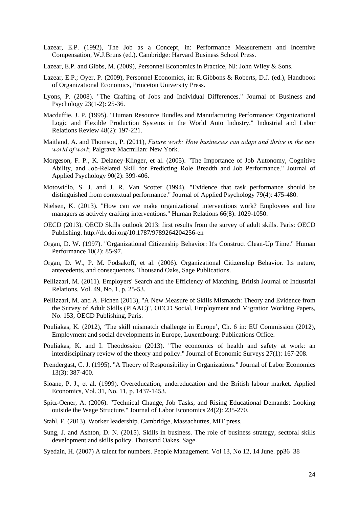- Lazear, E.P. (1992), The Job as a Concept, in: Performance Measurement and Incentive Compensation, W.J.Bruns (ed.). Cambridge: Harvard Business School Press.
- Lazear, E.P. and Gibbs, M. (2009), Personnel Economics in Practice, NJ: John Wiley & Sons.
- Lazear, E.P.; Oyer, P. (2009), Personnel Economics, in: R.Gibbons & Roberts, D.J. (ed.), Handbook of Organizational Economics, Princeton University Press.
- Lyons, P. (2008). "The Crafting of Jobs and Individual Differences." Journal of Business and Psychology 23(1-2): 25-36.
- Macduffie, J. P. (1995). "Human Resource Bundles and Manufacturing Performance: Organizational Logic and Flexible Production Systems in the World Auto Industry." Industrial and Labor Relations Review 48(2): 197-221.
- Maitland, A. and Thomson, P. (2011), *Future work: How businesses can adapt and thrive in the new world of work*, Palgrave Macmillan: New York.
- Morgeson, F. P., K. Delaney-Klinger, et al. (2005). "The Importance of Job Autonomy, Cognitive Ability, and Job-Related Skill for Predicting Role Breadth and Job Performance." Journal of Applied Psychology 90(2): 399-406.
- Motowidlo, S. J. and J. R. Van Scotter (1994). "Evidence that task performance should be distinguished from contextual performance." Journal of Applied Psychology 79(4): 475-480.
- Nielsen, K. (2013). "How can we make organizational interventions work? Employees and line managers as actively crafting interventions." Human Relations 66(8): 1029-1050.
- OECD (2013). OECD Skills outlook 2013: first results from the survey of adult skills. Paris: OECD Publishing. http://dx.doi.org/10.1787/9789264204256-en
- Organ, D. W. (1997). "Organizational Citizenship Behavior: It's Construct Clean-Up Time." Human Performance 10(2): 85-97.
- Organ, D. W., P. M. Podsakoff, et al. (2006). Organizational Citizenship Behavior. Its nature, antecedents, and consequences. Thousand Oaks, Sage Publications.
- Pellizzari, M. (2011). Employers' Search and the Efficiency of Matching. British Journal of Industrial Relations, Vol. 49, No. 1, p. 25-53.
- Pellizzari, M. and A. Fichen (2013), "A New Measure of Skills Mismatch: Theory and Evidence from the Survey of Adult Skills (PIAAC)", OECD Social, Employment and Migration Working Papers, No. 153, OECD Publishing, Paris.
- Pouliakas, K. (2012), 'The skill mismatch challenge in Europe', Ch. 6 in: EU Commission (2012), Employment and social developments in Europe, Luxembourg: Publications Office.
- Pouliakas, K. and I. Theodossiou (2013). "The economics of health and safety at work: an interdisciplinary review of the theory and policy." Journal of Economic Surveys 27(1): 167-208.
- Prendergast, C. J. (1995). "A Theory of Responsibility in Organizations." Journal of Labor Economics 13(3): 387-400.
- Sloane, P. J., et al. (1999). Overeducation, undereducation and the British labour market. Applied Economics, Vol. 31, No. 11, p. 1437-1453.
- Spitz-Oener, A. (2006). "Technical Change, Job Tasks, and Rising Educational Demands: Looking outside the Wage Structure." Journal of Labor Economics 24(2): 235-270.
- Stahl, F. (2013). Worker leadership. Cambridge, Massachuttes, MIT press.
- Sung, J. and Ashton, D. N. (2015). Skills in business. The role of business strategy, sectoral skills development and skills policy. Thousand Oakes, Sage.
- Syedain, H. (2007) A talent for numbers. People Management. Vol 13, No 12, 14 June. pp36–38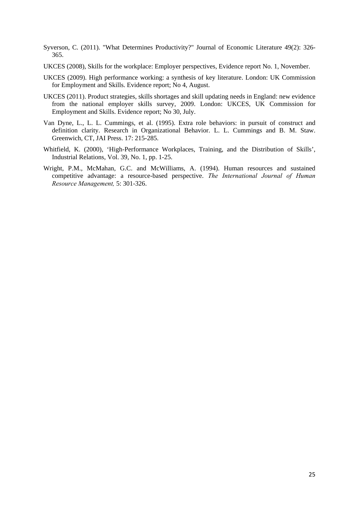- Syverson, C. (2011). "What Determines Productivity?" Journal of Economic Literature 49(2): 326- 365.
- UKCES (2008), Skills for the workplace: Employer perspectives, Evidence report No. 1, November.
- UKCES (2009). High performance working: a synthesis of key literature. London: UK Commission for Employment and Skills. Evidence report; No 4, August.
- UKCES (2011). Product strategies, skills shortages and skill updating needs in England: new evidence from the national employer skills survey, 2009. London: UKCES, UK Commission for Employment and Skills. Evidence report; No 30, July.
- Van Dyne, L., L. L. Cummings, et al. (1995). Extra role behaviors: in pursuit of construct and definition clarity. Research in Organizational Behavior. L. L. Cummings and B. M. Staw. Greenwich, CT, JAI Press. 17: 215-285.
- Whitfield, K. (2000), 'High-Performance Workplaces, Training, and the Distribution of Skills', Industrial Relations, Vol. 39, No. 1, pp. 1-25.
- Wright, P.M., McMahan, G.C. and McWilliams, A. (1994). Human resources and sustained competitive advantage: a resource-based perspective. *The International Journal of Human Resource Management,* 5: 301-326.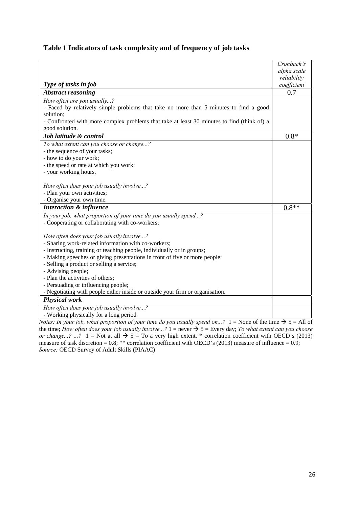#### **Table 1 Indicators of task complexity and of frequency of job tasks**

|                                                                                            | Cronbach's  |
|--------------------------------------------------------------------------------------------|-------------|
|                                                                                            | alpha scale |
|                                                                                            | reliability |
| Type of tasks in job                                                                       | coefficient |
| <b>Abstract reasoning</b>                                                                  | 0.7         |
| How often are you usually?                                                                 |             |
| - Faced by relatively simple problems that take no more than 5 minutes to find a good      |             |
| solution;                                                                                  |             |
| - Confronted with more complex problems that take at least 30 minutes to find (think of) a |             |
| good solution.                                                                             |             |
| Job latitude & control                                                                     | $0.8*$      |
| To what extent can you choose or change?                                                   |             |
| - the sequence of your tasks;                                                              |             |
| - how to do your work;                                                                     |             |
| - the speed or rate at which you work;                                                     |             |
| - your working hours.                                                                      |             |
|                                                                                            |             |
| How often does your job usually involve?                                                   |             |
| - Plan your own activities;                                                                |             |
| - Organise your own time.                                                                  |             |
| <b>Interaction &amp; influence</b>                                                         | $0.8**$     |
| In your job, what proportion of your time do you usually spend?                            |             |
| - Cooperating or collaborating with co-workers;                                            |             |
|                                                                                            |             |
| How often does your job usually involve?                                                   |             |
| - Sharing work-related information with co-workers;                                        |             |
| - Instructing, training or teaching people, individually or in groups;                     |             |
| - Making speeches or giving presentations in front of five or more people;                 |             |
| - Selling a product or selling a service;                                                  |             |
| - Advising people;                                                                         |             |
| - Plan the activities of others;                                                           |             |
| - Persuading or influencing people;                                                        |             |
| - Negotiating with people either inside or outside your firm or organisation.              |             |
| <b>Physical work</b>                                                                       |             |
| How often does your job usually involve?                                                   |             |
| - Working physically for a long period                                                     |             |

*Notes: In your job, what proportion of your time do you usually spend on...?*  $1 =$  None of the time  $\rightarrow$  5 = All of the time; *How often does your job usually involve...?*  $1 =$  never  $\rightarrow$  5 = Every day; *To what extent can you choose or change...?* ...? 1 = Not at all  $\rightarrow$  5 = To a very high extent. \* correlation coefficient with OECD's (2013) measure of task discretion =  $0.8$ ; \*\* correlation coefficient with OECD's (2013) measure of influence =  $0.9$ ; *Source:* OECD Survey of Adult Skills (PIAAC)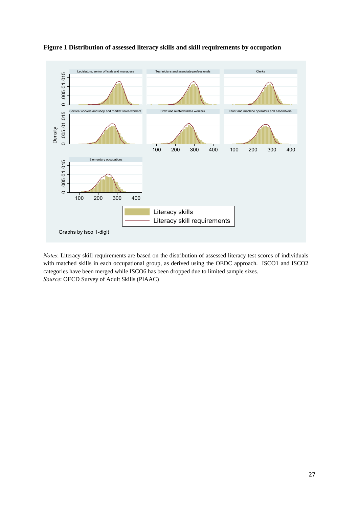

#### **Figure 1 Distribution of assessed literacy skills and skill requirements by occupation**

*Notes*: Literacy skill requirements are based on the distribution of assessed literacy test scores of individuals with matched skills in each occupational group, as derived using the OEDC approach. ISCO1 and ISCO2 categories have been merged while ISCO6 has been dropped due to limited sample sizes. *Source*: OECD Survey of Adult Skills (PIAAC)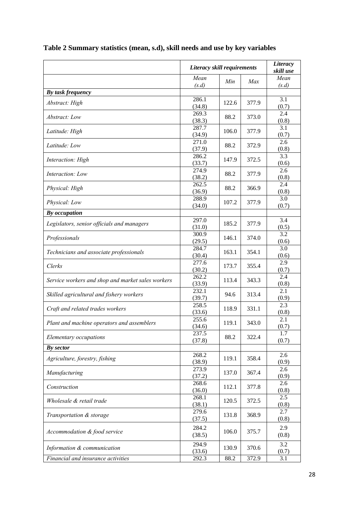|                                                   | Literacy skill requirements |       |       | Literacy<br>skill use |
|---------------------------------------------------|-----------------------------|-------|-------|-----------------------|
|                                                   | Mean                        | Min   | Max   | Mean                  |
|                                                   | (s.d)                       |       |       | (s.d)                 |
| By task frequency                                 |                             |       |       |                       |
| Abstract: High                                    | 286.1<br>(34.8)             | 122.6 | 377.9 | 3.1<br>(0.7)          |
| Abstract: Low                                     | 269.3<br>(38.3)             | 88.2  | 373.0 | 2.4<br>(0.8)          |
| Latitude: High                                    | 287.7                       | 106.0 | 377.9 | 3.1                   |
| Latitude: Low                                     | (34.9)<br>271.0             | 88.2  | 372.9 | (0.7)<br>2.6          |
|                                                   | (37.9)<br>286.2             | 147.9 | 372.5 | (0.8)<br>3.3          |
| Interaction: High                                 | (33.7)<br>274.9             |       |       | (0.6)<br>2.6          |
| Interaction: Low                                  | (38.2)                      | 88.2  | 377.9 | (0.8)                 |
| Physical: High                                    | 262.5<br>(36.9)             | 88.2  | 366.9 | 2.4<br>(0.8)          |
| Physical: Low                                     | 288.9<br>(34.0)             | 107.2 | 377.9 | 3.0<br>(0.7)          |
| By occupation                                     |                             |       |       |                       |
| Legislators, senior officials and managers        | 297.0<br>(31.0)             | 185.2 | 377.9 | 3.4<br>(0.5)          |
| Professionals                                     | 300.9<br>(29.5)             | 146.1 | 374.0 | 3.2<br>(0.6)          |
| Technicians and associate professionals           | 284.7<br>(30.4)             | 163.1 | 354.1 | 3.0<br>(0.6)          |
| Clerks                                            | 277.6<br>(30.2)             | 173.7 | 355.4 | 2.9<br>(0.7)          |
| Service workers and shop and market sales workers | 262.2<br>(33.9)             | 113.4 | 343.3 | 2.4<br>(0.8)          |
| Skilled agricultural and fishery workers          | 232.1<br>(39.7)             | 94.6  | 313.4 | 2.1<br>(0.9)          |
| Craft and related trades workers                  | 258.5<br>(33.6)             | 118.9 | 331.1 | 2.3<br>(0.8)          |
| Plant and machine operators and assemblers        | 255.6<br>(34.6)             | 119.1 | 343.0 | 2.1<br>(0.7)          |
| Elementary occupations                            | 237.5<br>(37.8)             | 88.2  | 322.4 | 1.7<br>(0.7)          |
| By sector                                         |                             |       |       |                       |
| Agriculture, forestry, fishing                    | 268.2<br>(38.9)             | 119.1 | 358.4 | 2.6<br>(0.9)          |
| Manufacturing                                     | 273.9                       | 137.0 | 367.4 | 2.6                   |
| Construction                                      | (37.2)<br>268.6             | 112.1 | 377.8 | (0.9)<br>2.6          |
| Wholesale & retail trade                          | (36.0)<br>268.1             | 120.5 | 372.5 | (0.8)<br>2.5          |
| Transportation & storage                          | (38.1)<br>279.6             | 131.8 | 368.9 | (0.8)<br>2.7          |
|                                                   | (37.5)<br>284.2             |       |       | (0.8)<br>2.9          |
| Accommodation & food service                      | (38.5)                      | 106.0 | 375.7 | (0.8)                 |
| Information & communication                       | 294.9<br>(33.6)             | 130.9 | 370.6 | 3.2<br>(0.7)          |
| Financial and insurance activities                | 292.3                       | 88.2  | 372.9 | 3.1                   |

# **Table 2 Summary statistics (mean, s.d), skill needs and use by key variables**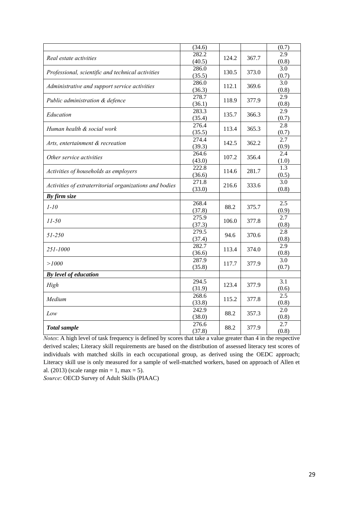|                                                                                                                                                                                                                                                                                                                                                                                                                                                                                                          | (34.6)          |       |       | (0.7)                     |
|----------------------------------------------------------------------------------------------------------------------------------------------------------------------------------------------------------------------------------------------------------------------------------------------------------------------------------------------------------------------------------------------------------------------------------------------------------------------------------------------------------|-----------------|-------|-------|---------------------------|
|                                                                                                                                                                                                                                                                                                                                                                                                                                                                                                          | 282.2           | 124.2 | 367.7 | 2.9                       |
|                                                                                                                                                                                                                                                                                                                                                                                                                                                                                                          | (40.5)          |       |       | (0.8)                     |
| Real estate activities<br>Professional, scientific and technical activities<br>Administrative and support service activities<br>Public administration & defence<br>Education<br>Human health & social work<br>Arts, entertainment & recreation<br>Other service activities<br>Activities of households as employers<br>Activities of extraterritorial organizations and bodies<br>By firm size<br>$1 - 10$<br>$11 - 50$<br>51-250<br>251-1000<br>>1000<br>By level of education<br>High<br>Medium<br>Low | 286.0           | 130.5 | 373.0 | 3.0                       |
|                                                                                                                                                                                                                                                                                                                                                                                                                                                                                                          | (35.5)          |       |       | (0.7)                     |
|                                                                                                                                                                                                                                                                                                                                                                                                                                                                                                          | 286.0           | 112.1 | 369.6 | $\overline{3.0}$          |
|                                                                                                                                                                                                                                                                                                                                                                                                                                                                                                          | (36.3)          |       |       | (0.8)                     |
|                                                                                                                                                                                                                                                                                                                                                                                                                                                                                                          | 278.7           | 118.9 | 377.9 | 2.9                       |
|                                                                                                                                                                                                                                                                                                                                                                                                                                                                                                          | (36.1)          |       |       | (0.8)                     |
|                                                                                                                                                                                                                                                                                                                                                                                                                                                                                                          | 283.3           | 135.7 | 366.3 | 2.9                       |
|                                                                                                                                                                                                                                                                                                                                                                                                                                                                                                          | (35.4)          |       |       | (0.7)                     |
|                                                                                                                                                                                                                                                                                                                                                                                                                                                                                                          | 276.4           | 113.4 | 365.3 | 2.8                       |
|                                                                                                                                                                                                                                                                                                                                                                                                                                                                                                          | (35.5)          |       |       | (0.7)<br>$\overline{2.7}$ |
|                                                                                                                                                                                                                                                                                                                                                                                                                                                                                                          | 274.4           | 142.5 | 362.2 |                           |
|                                                                                                                                                                                                                                                                                                                                                                                                                                                                                                          | (39.3)<br>264.6 |       |       | (0.9)<br>2.4              |
| <b>Total sample</b>                                                                                                                                                                                                                                                                                                                                                                                                                                                                                      | (43.0)          | 107.2 | 356.4 | (1.0)                     |
|                                                                                                                                                                                                                                                                                                                                                                                                                                                                                                          | 222.8           |       |       | 1.3                       |
|                                                                                                                                                                                                                                                                                                                                                                                                                                                                                                          | (36.6)          | 114.6 | 281.7 | (0.5)                     |
|                                                                                                                                                                                                                                                                                                                                                                                                                                                                                                          | 271.8           |       |       | 3.0                       |
|                                                                                                                                                                                                                                                                                                                                                                                                                                                                                                          | (33.0)          | 216.6 | 333.6 | (0.8)                     |
|                                                                                                                                                                                                                                                                                                                                                                                                                                                                                                          |                 |       |       |                           |
|                                                                                                                                                                                                                                                                                                                                                                                                                                                                                                          | 268.4           |       |       | 2.5                       |
|                                                                                                                                                                                                                                                                                                                                                                                                                                                                                                          | (37.8)          | 88.2  | 375.7 | (0.9)                     |
|                                                                                                                                                                                                                                                                                                                                                                                                                                                                                                          | 275.9           | 106.0 | 377.8 | $\overline{2.7}$          |
|                                                                                                                                                                                                                                                                                                                                                                                                                                                                                                          | (37.3)          |       |       | (0.8)                     |
|                                                                                                                                                                                                                                                                                                                                                                                                                                                                                                          | 279.5           | 94.6  | 370.6 | 2.8                       |
|                                                                                                                                                                                                                                                                                                                                                                                                                                                                                                          | (37.4)          |       |       | (0.8)                     |
|                                                                                                                                                                                                                                                                                                                                                                                                                                                                                                          | 282.7           | 113.4 | 374.0 | 2.9                       |
|                                                                                                                                                                                                                                                                                                                                                                                                                                                                                                          | (36.6)          |       |       | (0.8)                     |
|                                                                                                                                                                                                                                                                                                                                                                                                                                                                                                          | 287.9           | 117.7 | 377.9 | 3.0                       |
|                                                                                                                                                                                                                                                                                                                                                                                                                                                                                                          | (35.8)          |       |       | (0.7)                     |
|                                                                                                                                                                                                                                                                                                                                                                                                                                                                                                          |                 |       |       |                           |
|                                                                                                                                                                                                                                                                                                                                                                                                                                                                                                          | 294.5           | 123.4 | 377.9 | $\overline{3.1}$          |
|                                                                                                                                                                                                                                                                                                                                                                                                                                                                                                          | (31.9)          |       |       | (0.6)                     |
|                                                                                                                                                                                                                                                                                                                                                                                                                                                                                                          | 268.6           | 115.2 | 377.8 | $\overline{2.5}$          |
|                                                                                                                                                                                                                                                                                                                                                                                                                                                                                                          | (33.8)          |       |       | (0.8)                     |
|                                                                                                                                                                                                                                                                                                                                                                                                                                                                                                          | 242.9           | 88.2  | 357.3 | 2.0                       |
|                                                                                                                                                                                                                                                                                                                                                                                                                                                                                                          | (38.0)          |       |       | (0.8)                     |
|                                                                                                                                                                                                                                                                                                                                                                                                                                                                                                          | 276.6           | 88.2  | 377.9 | 2.7                       |
|                                                                                                                                                                                                                                                                                                                                                                                                                                                                                                          | (37.8)          |       |       | (0.8)                     |

*Notes*: A high level of task frequency is defined by scores that take a value greater than 4 in the respective derived scales; Literacy skill requirements are based on the distribution of assessed literacy test scores of individuals with matched skills in each occupational group, as derived using the OEDC approach; Literacy skill use is only measured for a sample of well-matched workers, based on approach of Allen et al. (2013) (scale range min = 1, max = 5).

*Source*: OECD Survey of Adult Skills (PIAAC)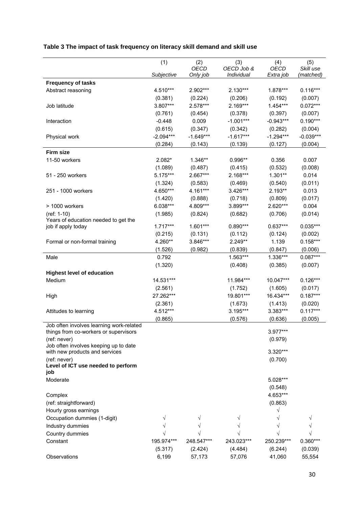### **Table 3 The impact of task frequency on literacy skill demand and skill use**

|                                                                                   | (1)         | (2)         | (3)                 | (4)         | (5)         |
|-----------------------------------------------------------------------------------|-------------|-------------|---------------------|-------------|-------------|
|                                                                                   |             | <b>OECD</b> | OECD Job &          | <b>OECD</b> | Skill use   |
|                                                                                   | Subjective  | Only job    | Individual          | Extra job   | (matched)   |
| <b>Frequency of tasks</b>                                                         |             |             |                     |             |             |
| Abstract reasoning                                                                | 4.510***    | 2.902***    | 2.130***            | 1.878***    | $0.116***$  |
|                                                                                   | (0.381)     | (0.224)     | (0.206)             | (0.192)     | (0.007)     |
| Job latitude                                                                      | 3.807***    | 2.578***    | 2.169***            | 1.454***    | $0.072***$  |
|                                                                                   | (0.761)     | (0.454)     | (0.378)             | (0.397)     | (0.007)     |
| Interaction                                                                       | $-0.448$    | 0.009       | $-1.001***$         | $-0.943***$ | $0.190***$  |
|                                                                                   | (0.615)     | (0.347)     | (0.342)             | (0.282)     | (0.004)     |
| Physical work                                                                     | $-2.094***$ | $-1.649***$ | $-1.617***$         | $-1.294***$ | $-0.039***$ |
|                                                                                   | (0.284)     | (0.143)     | (0.139)             | (0.127)     | (0.004)     |
| <b>Firm size</b>                                                                  |             |             |                     |             |             |
| 11-50 workers                                                                     | 2.082*      | 1.346**     | 0.996**             | 0.356       | 0.007       |
|                                                                                   | (1.089)     | (0.487)     | (0.415)             | (0.532)     | (0.008)     |
| 51 - 250 workers                                                                  | 5.175***    | 2.667***    | 2.168***            | $1.301**$   | 0.014       |
|                                                                                   | (1.324)     | (0.583)     | (0.469)             | (0.540)     | (0.011)     |
| 251 - 1000 workers                                                                | 4.650***    | 4.161***    | 3.426***            | $2.193**$   | 0.013       |
|                                                                                   |             |             |                     |             |             |
|                                                                                   | (1.420)     | (0.888)     | (0.718)<br>3.899*** | (0.809)     | (0.017)     |
| > 1000 workers                                                                    | 6.038***    | 4.809***    |                     | 2.620***    | 0.004       |
| (ref: 1-10)<br>Years of education needed to get the                               | (1.985)     | (0.824)     | (0.682)             | (0.706)     | (0.014)     |
| job if apply today                                                                | $1.717***$  | $1.601***$  | $0.890***$          | $0.637***$  | 0.035***    |
|                                                                                   | (0.215)     | (0.131)     | (0.112)             | (0.124)     | (0.002)     |
| Formal or non-formal training                                                     | 4.260**     | 3.846***    | 2.249**             | 1.139       | $0.158***$  |
|                                                                                   | (1.526)     | (0.982)     | (0.839)             | (0.847)     | (0.006)     |
| Male                                                                              | 0.792       |             | 1.563***            | 1.336***    | $0.087***$  |
|                                                                                   |             |             | (0.408)             | (0.385)     | (0.007)     |
| <b>Highest level of education</b>                                                 | (1.320)     |             |                     |             |             |
|                                                                                   | 14.531***   |             | 11.984***           | 10.047***   | $0.126***$  |
| Medium                                                                            |             |             |                     |             |             |
|                                                                                   | (2.561)     |             | (1.752)             | (1.605)     | (0.017)     |
| High                                                                              | 27.262***   |             | 19.801***           | 16.434***   | $0.187***$  |
|                                                                                   | (2.361)     |             | (1.673)             | (1.413)     | (0.020)     |
| Attitudes to learning                                                             | 4.512***    |             | 3.195***            | 3.383***    | $0.117***$  |
|                                                                                   | (0.865)     |             | (0.576)             | (0.636)     | (0.005)     |
| Job often involves learning work-related<br>things from co-workers or supervisors |             |             |                     | 3.977***    |             |
| (ref: never)                                                                      |             |             |                     | (0.979)     |             |
| Job often involves keeping up to date                                             |             |             |                     |             |             |
| with new products and services                                                    |             |             |                     | 3.320***    |             |
| (ref: never)                                                                      |             |             |                     | (0.700)     |             |
| Level of ICT use needed to perform                                                |             |             |                     |             |             |
| job                                                                               |             |             |                     |             |             |
| Moderate                                                                          |             |             |                     | 5.028***    |             |
|                                                                                   |             |             |                     | (0.548)     |             |
| Complex                                                                           |             |             |                     | 4.653***    |             |
| (ref: straightforward)                                                            |             |             |                     | (0.863)     |             |
| Hourly gross earnings                                                             |             |             |                     |             |             |
| Occupation dummies (1-digit)                                                      |             |             |                     |             |             |
| Industry dummies                                                                  |             |             |                     |             |             |
| Country dummies                                                                   |             |             |                     |             |             |
| Constant                                                                          | 195.974***  | 248.547***  | 243.023***          | 250.239***  | 0.360***    |
|                                                                                   | (5.317)     | (2.424)     | (4.484)             | (6.244)     | (0.039)     |
| Observations                                                                      | 6,199       | 57,173      | 57,076              | 41,060      | 55,554      |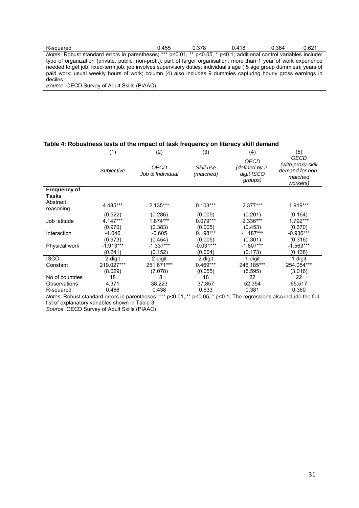| R-squared                                                                                                                           | 0.455 | 0.378 | 0.418 | 0.364 | 0.621 |
|-------------------------------------------------------------------------------------------------------------------------------------|-------|-------|-------|-------|-------|
| <i>Notes:</i> Robust standard errors in parentheses; *** $p<0.01$ , ** $p<0.05$ , * $p<0.1$ ; additional control variables include: |       |       |       |       |       |
| type of organization (private, public, non-profit); part of larger organisation; more than 1 year of work experience                |       |       |       |       |       |
| needed to get job; fixed-term job; job involves supervisory duties; individual's age (5 age group dummies); years of                |       |       |       |       |       |
| paid work; usual weekly hours of work; column (4) also includes 9 dummies capturing hourly gross earnings in                        |       |       |       |       |       |
| deciles.                                                                                                                            |       |       |       |       |       |

*Source*: OECD Survey of Adult Skills (PIAAC)

#### **Table 4: Robustness tests of the impact of task frequency on literacy skill demand**

|                       | (1)         | (2)                             | (3)                    | (4)                                             | (5)                                                                 |
|-----------------------|-------------|---------------------------------|------------------------|-------------------------------------------------|---------------------------------------------------------------------|
|                       | Subjective  | <b>OECD</b><br>Job & Individual | Skill use<br>(matched) | OECD<br>(defined by 2-<br>digit ISCO<br>groups) | OECD<br>(with proxy skill<br>demand for non-<br>matched<br>workers) |
| <b>Frequency of</b>   |             |                                 |                        |                                                 |                                                                     |
| Tasks                 |             |                                 |                        |                                                 |                                                                     |
| Abstract<br>reasoning | 4.485***    | $2.135***$                      | $0.103***$             | $2.377***$                                      | 1.919***                                                            |
|                       | (0.522)     | (0.286)                         | (0.005)                | (0.201)                                         | (0.164)                                                             |
| Job latitude          | 4.147***    | 1.874***                        | $0.079***$             | 2.336***                                        | 1.792***                                                            |
|                       | (0.970)     | (0.383)                         | (0.005)                | (0.453)                                         | (0.370)                                                             |
| Interaction           | $-1.046$    | $-0.605$                        | $0.198***$             | $-1.187***$                                     | $-0.936***$                                                         |
|                       | (0.973)     | (0.454)                         | (0.005)                | (0.301)                                         | (0.316)                                                             |
| Physical work         | $-1.913***$ | $-1.337***$                     | $-0.031***$            | $-1.807***$                                     | $-1.563***$                                                         |
|                       | (0.241)     | (0.152)                         | (0.004)                | (0.173)                                         | (0.138)                                                             |
| <b>ISCO</b>           | 2-digit     | 2-digit                         | 2-digit                | 1-digit                                         | 1-digit                                                             |
| Constant              | 219.027***  | 251.671***                      | $0.469***$             | 246.185***                                      | 254.054***                                                          |
|                       | (8.029)     | (7.078)                         | (0.055)                | (5.595)                                         | (3.016)                                                             |
| No of countries       | 18          | 18                              | 18                     | 22                                              | 22                                                                  |
| Observations          | 4,371       | 38,223                          | 37,857                 | 52,354                                          | 65,517                                                              |
| R-squared             | 0.466       | 0.438                           | 0.633                  | 0.381                                           | 0.360                                                               |

*Notes*: Robust standard errors in parentheses; \*\*\* p<0.01, \*\* p<0.05, \* p<0.1; The regressions also include the full list of explanatory variables shown in Table 3.

*Source*: OECD Survey of Adult Skills (PIAAC)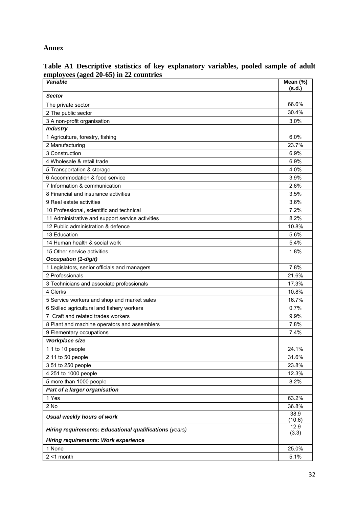#### **Annex**

| <b>Variable</b>                                         | Mean $(\%)$<br>(s.d.) |
|---------------------------------------------------------|-----------------------|
| <b>Sector</b>                                           |                       |
| The private sector                                      | 66.6%                 |
| 2 The public sector                                     | 30.4%                 |
| 3 A non-profit organisation                             | 3.0%                  |
| <b>Industry</b>                                         |                       |
| 1 Agriculture, forestry, fishing                        | 6.0%                  |
| 2 Manufacturing                                         | 23.7%                 |
| 3 Construction                                          | 6.9%                  |
| 4 Wholesale & retail trade                              | 6.9%                  |
| 5 Transportation & storage                              | 4.0%                  |
| 6 Accommodation & food service                          | 3.9%                  |
| 7 Information & communication                           | 2.6%                  |
| 8 Financial and insurance activities                    | 3.5%                  |
| 9 Real estate activities                                | 3.6%                  |
| 10 Professional, scientific and technical               | 7.2%                  |
| 11 Administrative and support service activities        | 8.2%                  |
| 12 Public administration & defence                      | 10.8%                 |
| 13 Education                                            | 5.6%                  |
| 14 Human health & social work                           | 5.4%                  |
| 15 Other service activities                             | 1.8%                  |
| <b>Occupation (1-digit)</b>                             |                       |
| 1 Legislators, senior officials and managers            | 7.8%                  |
| 2 Professionals                                         | 21.6%                 |
| 3 Technicians and associate professionals               | 17.3%                 |
| 4 Clerks                                                | 10.8%                 |
| 5 Service workers and shop and market sales             | 16.7%                 |
| 6 Skilled agricultural and fishery workers              | 0.7%                  |
| 7 Craft and related trades workers                      | 9.9%                  |
| 8 Plant and machine operators and assemblers            | 7.8%                  |
| 9 Elementary occupations                                | 7.4%                  |
| <b>Workplace size</b>                                   |                       |
| 1 1 to 10 people                                        | 24.1%                 |
| 2 11 to 50 people                                       | 31.6%                 |
| 3 51 to 250 people                                      | 23.8%                 |
| 4 251 to 1000 people                                    | 12.3%                 |
| 5 more than 1000 people                                 | 8.2%                  |
| Part of a larger organisation                           |                       |
| 1 Yes                                                   | 63.2%                 |
| 2 No                                                    | 36.8%                 |
| Usual weekly hours of work                              | 38.9<br>(10.6)        |
| Hiring requirements: Educational qualifications (years) | 12.9<br>(3.3)         |
| <b>Hiring requirements: Work experience</b>             |                       |
| 1 None                                                  | 25.0%                 |
| $2 < 1$ month                                           | 5.1%                  |

**Table A1 Descriptive statistics of key explanatory variables, pooled sample of adult employees (aged 20-65) in 22 countries**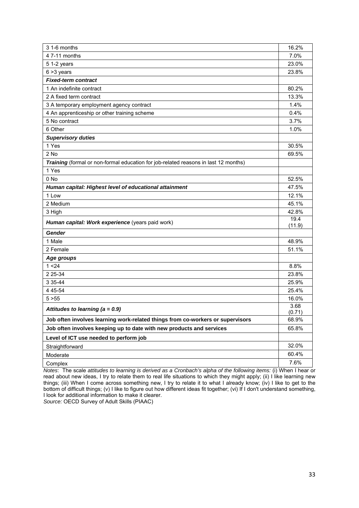| 3 1-6 months                                                                        | 16.2%          |
|-------------------------------------------------------------------------------------|----------------|
| 4 7-11 months                                                                       | 7.0%           |
| 5 1-2 years                                                                         | 23.0%          |
| $6 > 3$ years                                                                       | 23.8%          |
| <b>Fixed-term contract</b>                                                          |                |
| 1 An indefinite contract                                                            | 80.2%          |
| 2 A fixed term contract                                                             | 13.3%          |
| 3 A temporary employment agency contract                                            | 1.4%           |
| 4 An apprenticeship or other training scheme                                        | 0.4%           |
| 5 No contract                                                                       | 3.7%           |
| 6 Other                                                                             | 1.0%           |
| <b>Supervisory duties</b>                                                           |                |
| 1 Yes                                                                               | 30.5%          |
| 2 No                                                                                | 69.5%          |
| Training (formal or non-formal education for job-related reasons in last 12 months) |                |
| 1 Yes                                                                               |                |
| 0 No                                                                                | 52.5%          |
| Human capital: Highest level of educational attainment                              | 47.5%          |
| 1 Low                                                                               | 12.1%          |
| 2 Medium                                                                            | 45.1%          |
| 3 High                                                                              | 42.8%          |
| Human capital: Work experience (years paid work)                                    | 19.4<br>(11.9) |
| <b>Gender</b>                                                                       |                |
| 1 Male                                                                              | 48.9%          |
| 2 Female                                                                            | 51.1%          |
| Age groups                                                                          |                |
| 1 < 24                                                                              | 8.8%           |
| 2 2 5 - 34                                                                          | 23.8%          |
| 3 3 5 - 44                                                                          | 25.9%          |
| 4 4 5 - 5 4                                                                         | 25.4%          |
| 5 > 55                                                                              | 16.0%          |
| Attitudes to learning $(a = 0.9)$                                                   | 3.68<br>(0.71) |
| Job often involves learning work-related things from co-workers or supervisors      | 68.9%          |
| Job often involves keeping up to date with new products and services                | 65.8%          |
| Level of ICT use needed to perform job                                              |                |
| Straightforward                                                                     | 32.0%          |
| Moderate                                                                            | 60.4%          |
| Complex                                                                             | 7.6%           |
|                                                                                     |                |

*Notes*: The scale *attitudes to learning is derived as a Cronbach's alpha of the following items:* (i) When I hear or read about new ideas, I try to relate them to real life situations to which they might apply; (ii) I like learning new things; (iii) When I come across something new, I try to relate it to what I already know; (iv) I like to get to the bottom of difficult things; (v) I like to figure out how different ideas fit together; (vi) If I don't understand something, I look for additional information to make it clearer.

*Source:* OECD Survey of Adult Skills (PIAAC)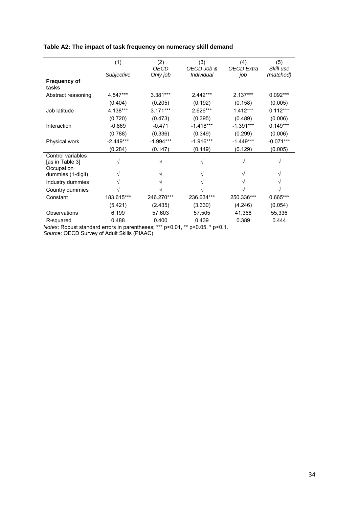|                     | (1)         | (2)         | (3)         | (4)               | (5)         |
|---------------------|-------------|-------------|-------------|-------------------|-------------|
|                     |             | OECD        | OECD Job &  | <b>OECD</b> Extra | Skill use   |
|                     | Subjective  | Only job    | Individual  | job               | (matched)   |
| <b>Frequency of</b> |             |             |             |                   |             |
| tasks               |             |             |             |                   |             |
| Abstract reasoning  | 4.547***    | 3.381***    | $2.442***$  | $2.137***$        | $0.092***$  |
|                     | (0.404)     | (0.205)     | (0.192)     | (0.158)           | (0.005)     |
| Job latitude        | 4.138***    | $3.171***$  | 2.626***    | $1.412***$        | $0.112***$  |
|                     | (0.720)     | (0.473)     | (0.395)     | (0.489)           | (0.006)     |
| Interaction         | $-0.869$    | $-0.471$    | $-1.418***$ | $-1.391***$       | $0.149***$  |
|                     | (0.788)     | (0.336)     | (0.349)     | (0.299)           | (0.006)     |
| Physical work       | $-2.449***$ | $-1.994***$ | $-1.916***$ | $-1.449***$       | $-0.071***$ |
|                     | (0.284)     | (0.147)     | (0.149)     | (0.129)           | (0.005)     |
| Control variables   |             |             |             |                   |             |
| [as in Table 3]     | V           |             |             | V                 |             |
| Occupation          |             |             |             |                   |             |
| dummies (1-digit)   |             |             |             |                   |             |
| Industry dummies    |             |             |             |                   |             |
| Country dummies     |             |             |             |                   |             |
| Constant            | 183.615***  | 246.270***  | 236.634***  | 250.336***        | 0.665***    |
|                     | (5.421)     | (2.435)     | (3.330)     | (4.246)           | (0.054)     |
| Observations        | 6,199       | 57,603      | 57,505      | 41,368            | 55,336      |
| R-squared           | 0.488       | 0.400       | 0.439       | 0.389             | 0.444       |

#### **Table A2: The impact of task frequency on numeracy skill demand**

*Notes*: Robust standard errors in parentheses; \*\*\* p<0.01, \*\* p<0.05, \* p<0.1.

*Source*: OECD Survey of Adult Skills (PIAAC)